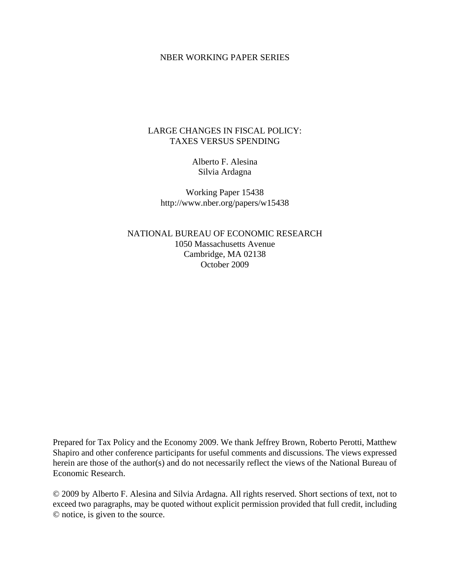### NBER WORKING PAPER SERIES

## LARGE CHANGES IN FISCAL POLICY: TAXES VERSUS SPENDING

Alberto F. Alesina Silvia Ardagna

Working Paper 15438 http://www.nber.org/papers/w15438

NATIONAL BUREAU OF ECONOMIC RESEARCH 1050 Massachusetts Avenue Cambridge, MA 02138 October 2009

Prepared for Tax Policy and the Economy 2009. We thank Jeffrey Brown, Roberto Perotti, Matthew Shapiro and other conference participants for useful comments and discussions. The views expressed herein are those of the author(s) and do not necessarily reflect the views of the National Bureau of Economic Research.

© 2009 by Alberto F. Alesina and Silvia Ardagna. All rights reserved. Short sections of text, not to exceed two paragraphs, may be quoted without explicit permission provided that full credit, including © notice, is given to the source.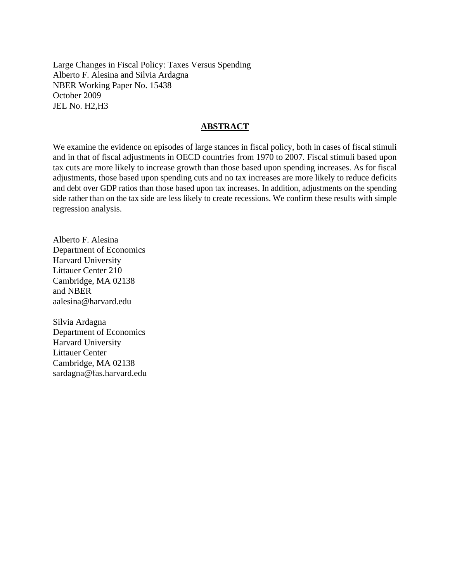Large Changes in Fiscal Policy: Taxes Versus Spending Alberto F. Alesina and Silvia Ardagna NBER Working Paper No. 15438 October 2009 JEL No. H2,H3

### **ABSTRACT**

We examine the evidence on episodes of large stances in fiscal policy, both in cases of fiscal stimuli and in that of fiscal adjustments in OECD countries from 1970 to 2007. Fiscal stimuli based upon tax cuts are more likely to increase growth than those based upon spending increases. As for fiscal adjustments, those based upon spending cuts and no tax increases are more likely to reduce deficits and debt over GDP ratios than those based upon tax increases. In addition, adjustments on the spending side rather than on the tax side are less likely to create recessions. We confirm these results with simple regression analysis.

Alberto F. Alesina Department of Economics Harvard University Littauer Center 210 Cambridge, MA 02138 and NBER aalesina@harvard.edu

Silvia Ardagna Department of Economics Harvard University Littauer Center Cambridge, MA 02138 sardagna@fas.harvard.edu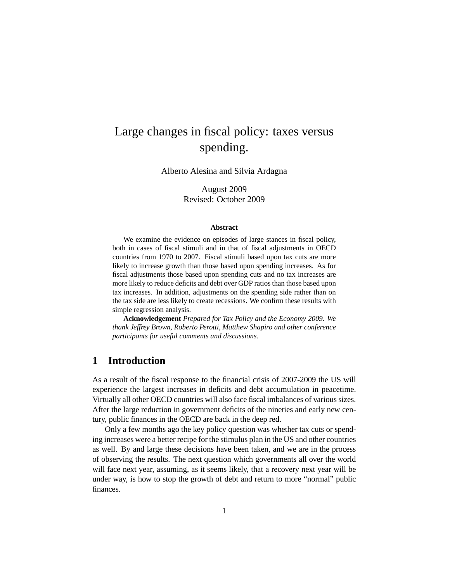# Large changes in fiscal policy: taxes versus spending.

Alberto Alesina and Silvia Ardagna

August 2009 Revised: October 2009

#### **Abstract**

We examine the evidence on episodes of large stances in fiscal policy, both in cases of fiscal stimuli and in that of fiscal adjustments in OECD countries from 1970 to 2007. Fiscal stimuli based upon tax cuts are more likely to increase growth than those based upon spending increases. As for fiscal adjustments those based upon spending cuts and no tax increases are more likely to reduce deficits and debt over GDP ratios than those based upon tax increases. In addition, adjustments on the spending side rather than on the tax side are less likely to create recessions. We confirm these results with simple regression analysis.

**Acknowledgement** *Prepared for Tax Policy and the Economy 2009. We thank Jeffrey Brown, Roberto Perotti, Matthew Shapiro and other conference participants for useful comments and discussions.*

## **1 Introduction**

As a result of the fiscal response to the financial crisis of 2007-2009 the US will experience the largest increases in deficits and debt accumulation in peacetime. Virtually all other OECD countries will also face fiscal imbalances of various sizes. After the large reduction in government deficits of the nineties and early new century, public finances in the OECD are back in the deep red.

Only a few months ago the key policy question was whether tax cuts or spending increases were a better recipe for the stimulus plan in the US and other countries as well. By and large these decisions have been taken, and we are in the process of observing the results. The next question which governments all over the world will face next year, assuming, as it seems likely, that a recovery next year will be under way, is how to stop the growth of debt and return to more "normal" public finances.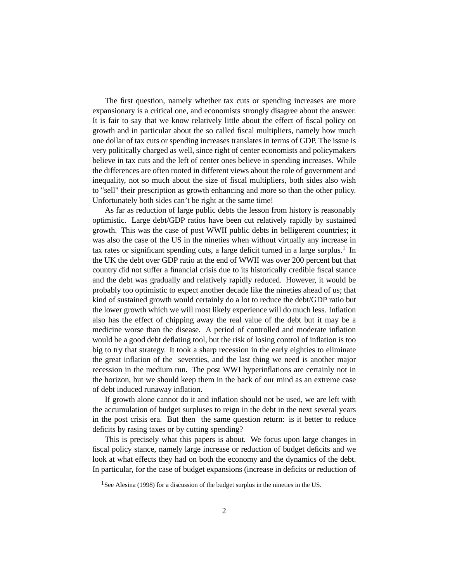The first question, namely whether tax cuts or spending increases are more expansionary is a critical one, and economists strongly disagree about the answer. It is fair to say that we know relatively little about the effect of fiscal policy on growth and in particular about the so called fiscal multipliers, namely how much one dollar of tax cuts or spending increases translates in terms of GDP. The issue is very politically charged as well, since right of center economists and policymakers believe in tax cuts and the left of center ones believe in spending increases. While the differences are often rooted in different views about the role of government and inequality, not so much about the size of fiscal multipliers, both sides also wish to "sell" their prescription as growth enhancing and more so than the other policy. Unfortunately both sides can't be right at the same time!

As far as reduction of large public debts the lesson from history is reasonably optimistic. Large debt/GDP ratios have been cut relatively rapidly by sustained growth. This was the case of post WWII public debts in belligerent countries; it was also the case of the US in the nineties when without virtually any increase in tax rates or significant spending cuts, a large deficit turned in a large surplus.<sup>1</sup> In the UK the debt over GDP ratio at the end of WWII was over 200 percent but that country did not suffer a financial crisis due to its historically credible fiscal stance and the debt was gradually and relatively rapidly reduced. However, it would be probably too optimistic to expect another decade like the nineties ahead of us; that kind of sustained growth would certainly do a lot to reduce the debt/GDP ratio but the lower growth which we will most likely experience will do much less. Inflation also has the effect of chipping away the real value of the debt but it may be a medicine worse than the disease. A period of controlled and moderate inflation would be a good debt deflating tool, but the risk of losing control of inflation is too big to try that strategy. It took a sharp recession in the early eighties to eliminate the great inflation of the seventies, and the last thing we need is another major recession in the medium run. The post WWI hyperinflations are certainly not in the horizon, but we should keep them in the back of our mind as an extreme case of debt induced runaway inflation.

If growth alone cannot do it and inflation should not be used, we are left with the accumulation of budget surpluses to reign in the debt in the next several years in the post crisis era. But then the same question return: is it better to reduce deficits by rasing taxes or by cutting spending?

This is precisely what this papers is about. We focus upon large changes in fiscal policy stance, namely large increase or reduction of budget deficits and we look at what effects they had on both the economy and the dynamics of the debt. In particular, for the case of budget expansions (increase in deficits or reduction of

<sup>&</sup>lt;sup>1</sup>See Alesina (1998) for a discussion of the budget surplus in the nineties in the US.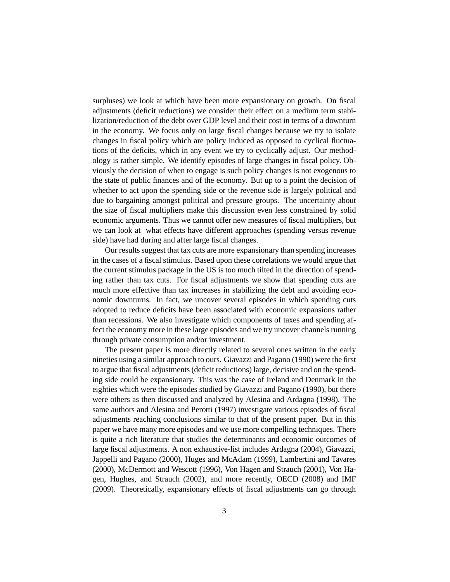surpluses) we look at which have been more expansionary on growth. On fiscal adjustments (deficit reductions) we consider their effect on a medium term stabilization/reduction of the debt over GDP level and their cost in terms of a downturn in the economy. We focus only on large fiscal changes because we try to isolate changes in fiscal policy which are policy induced as opposed to cyclical fluctuations of the deficits, which in any event we try to cyclically adjust. Our methodology is rather simple. We identify episodes of large changes in fiscal policy. Obviously the decision of when to engage is such policy changes is not exogenous to the state of public finances and of the economy. But up to a point the decision of whether to act upon the spending side or the revenue side is largely political and due to bargaining amongst political and pressure groups. The uncertainty about the size of fiscal multipliers make this discussion even less constrained by solid economic arguments. Thus we cannot offer new measures of fiscal multipliers, but we can look at what effects have different approaches (spending versus revenue side) have had during and after large fiscal changes.

Our results suggest that tax cuts are more expansionary than spending increases in the cases of a fiscal stimulus. Based upon these correlations we would argue that the current stimulus package in the US is too much tilted in the direction of spending rather than tax cuts. For fiscal adjustments we show that spending cuts are much more effective than tax increases in stabilizing the debt and avoiding economic downturns. In fact, we uncover several episodes in which spending cuts adopted to reduce deficits have been associated with economic expansions rather than recessions. We also investigate which components of taxes and spending affect the economy more in these large episodes and we try uncover channels running through private consumption and/or investment.

The present paper is more directly related to several ones written in the early nineties using a similar approach to ours. Giavazzi and Pagano (1990) were the first to argue that fiscal adjustments (deficit reductions) large, decisive and on the spending side could be expansionary. This was the case of Ireland and Denmark in the eighties which were the episodes studied by Giavazzi and Pagano (1990), but there were others as then discussed and analyzed by Alesina and Ardagna (1998). The same authors and Alesina and Perotti (1997) investigate various episodes of fiscal adjustments reaching conclusions similar to that of the present paper. But in this paper we have many more episodes and we use more compelling techniques. There is quite a rich literature that studies the determinants and economic outcomes of large fiscal adjustments. A non exhaustive-list includes Ardagna (2004), Giavazzi, Jappelli and Pagano (2000), Huges and McAdam (1999), Lambertini and Tavares (2000), McDermott and Wescott (1996), Von Hagen and Strauch (2001), Von Hagen, Hughes, and Strauch (2002), and more recently, OECD (2008) and IMF (2009). Theoretically, expansionary effects of fiscal adjustments can go through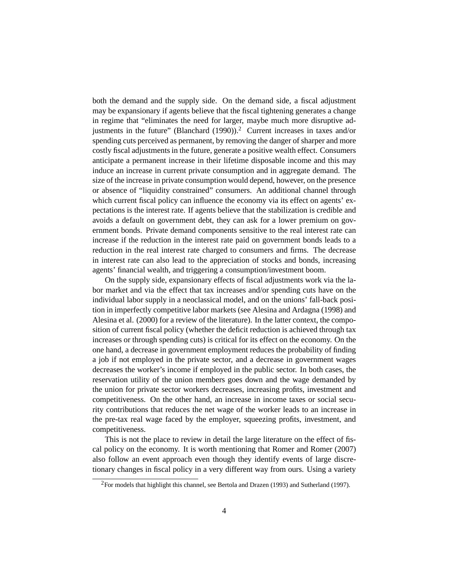both the demand and the supply side. On the demand side, a fiscal adjustment may be expansionary if agents believe that the fiscal tightening generates a change in regime that "eliminates the need for larger, maybe much more disruptive adjustments in the future" (Blanchard  $(1990)$ ).<sup>2</sup> Current increases in taxes and/or spending cuts perceived as permanent, by removing the danger of sharper and more costly fiscal adjustments in the future, generate a positive wealth effect. Consumers anticipate a permanent increase in their lifetime disposable income and this may induce an increase in current private consumption and in aggregate demand. The size of the increase in private consumption would depend, however, on the presence or absence of "liquidity constrained" consumers. An additional channel through which current fiscal policy can influence the economy via its effect on agents' expectations is the interest rate. If agents believe that the stabilization is credible and avoids a default on government debt, they can ask for a lower premium on government bonds. Private demand components sensitive to the real interest rate can increase if the reduction in the interest rate paid on government bonds leads to a reduction in the real interest rate charged to consumers and firms. The decrease in interest rate can also lead to the appreciation of stocks and bonds, increasing agents' financial wealth, and triggering a consumption/investment boom.

On the supply side, expansionary effects of fiscal adjustments work via the labor market and via the effect that tax increases and/or spending cuts have on the individual labor supply in a neoclassical model, and on the unions' fall-back position in imperfectly competitive labor markets (see Alesina and Ardagna (1998) and Alesina et al. (2000) for a review of the literature). In the latter context, the composition of current fiscal policy (whether the deficit reduction is achieved through tax increases or through spending cuts) is critical for its effect on the economy. On the one hand, a decrease in government employment reduces the probability of finding a job if not employed in the private sector, and a decrease in government wages decreases the worker's income if employed in the public sector. In both cases, the reservation utility of the union members goes down and the wage demanded by the union for private sector workers decreases, increasing profits, investment and competitiveness. On the other hand, an increase in income taxes or social security contributions that reduces the net wage of the worker leads to an increase in the pre-tax real wage faced by the employer, squeezing profits, investment, and competitiveness.

This is not the place to review in detail the large literature on the effect of fiscal policy on the economy. It is worth mentioning that Romer and Romer (2007) also follow an event approach even though they identify events of large discretionary changes in fiscal policy in a very different way from ours. Using a variety

 ${}^{2}$ For models that highlight this channel, see Bertola and Drazen (1993) and Sutherland (1997).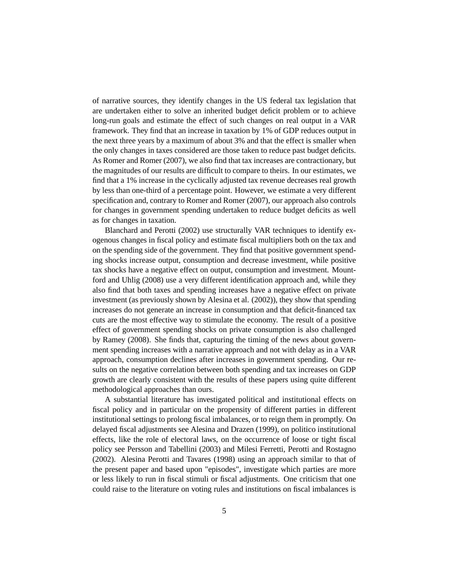of narrative sources, they identify changes in the US federal tax legislation that are undertaken either to solve an inherited budget deficit problem or to achieve long-run goals and estimate the effect of such changes on real output in a VAR framework. They find that an increase in taxation by 1% of GDP reduces output in the next three years by a maximum of about 3% and that the effect is smaller when the only changes in taxes considered are those taken to reduce past budget deficits. As Romer and Romer (2007), we also find that tax increases are contractionary, but the magnitudes of our results are difficult to compare to theirs. In our estimates, we find that a 1% increase in the cyclically adjusted tax revenue decreases real growth by less than one-third of a percentage point. However, we estimate a very different specification and, contrary to Romer and Romer (2007), our approach also controls for changes in government spending undertaken to reduce budget deficits as well as for changes in taxation.

Blanchard and Perotti (2002) use structurally VAR techniques to identify exogenous changes in fiscal policy and estimate fiscal multipliers both on the tax and on the spending side of the government. They find that positive government spending shocks increase output, consumption and decrease investment, while positive tax shocks have a negative effect on output, consumption and investment. Mountford and Uhlig (2008) use a very different identification approach and, while they also find that both taxes and spending increases have a negative effect on private investment (as previously shown by Alesina et al. (2002)), they show that spending increases do not generate an increase in consumption and that deficit-financed tax cuts are the most effective way to stimulate the economy. The result of a positive effect of government spending shocks on private consumption is also challenged by Ramey (2008). She finds that, capturing the timing of the news about government spending increases with a narrative approach and not with delay as in a VAR approach, consumption declines after increases in government spending. Our results on the negative correlation between both spending and tax increases on GDP growth are clearly consistent with the results of these papers using quite different methodological approaches than ours.

A substantial literature has investigated political and institutional effects on fiscal policy and in particular on the propensity of different parties in different institutional settings to prolong fiscal imbalances, or to reign them in promptly. On delayed fiscal adjustments see Alesina and Drazen (1999), on politico institutional effects, like the role of electoral laws, on the occurrence of loose or tight fiscal policy see Persson and Tabellini (2003) and Milesi Ferretti, Perotti and Rostagno (2002). Alesina Perotti and Tavares (1998) using an approach similar to that of the present paper and based upon "episodes", investigate which parties are more or less likely to run in fiscal stimuli or fiscal adjustments. One criticism that one could raise to the literature on voting rules and institutions on fiscal imbalances is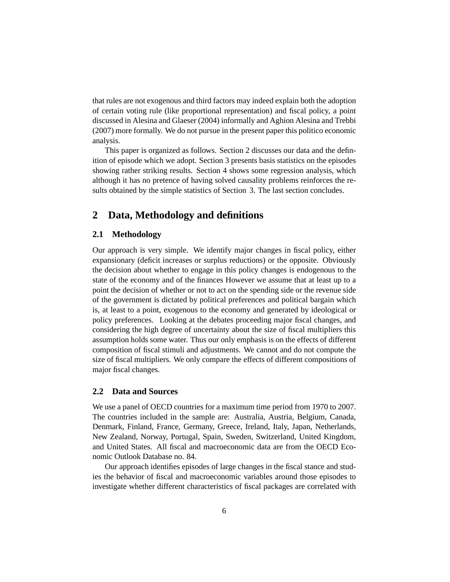that rules are not exogenous and third factors may indeed explain both the adoption of certain voting rule (like proportional representation) and fiscal policy, a point discussed in Alesina and Glaeser (2004) informally and Aghion Alesina and Trebbi (2007) more formally. We do not pursue in the present paper this politico economic analysis.

This paper is organized as follows. Section 2 discusses our data and the definition of episode which we adopt. Section 3 presents basis statistics on the episodes showing rather striking results. Section 4 shows some regression analysis, which although it has no pretence of having solved causality problems reinforces the results obtained by the simple statistics of Section 3. The last section concludes.

## **2 Data, Methodology and definitions**

#### **2.1 Methodology**

Our approach is very simple. We identify major changes in fiscal policy, either expansionary (deficit increases or surplus reductions) or the opposite. Obviously the decision about whether to engage in this policy changes is endogenous to the state of the economy and of the finances However we assume that at least up to a point the decision of whether or not to act on the spending side or the revenue side of the government is dictated by political preferences and political bargain which is, at least to a point, exogenous to the economy and generated by ideological or policy preferences. Looking at the debates proceeding major fiscal changes, and considering the high degree of uncertainty about the size of fiscal multipliers this assumption holds some water. Thus our only emphasis is on the effects of different composition of fiscal stimuli and adjustments. We cannot and do not compute the size of fiscal multipliers. We only compare the effects of different compositions of major fiscal changes.

#### **2.2 Data and Sources**

We use a panel of OECD countries for a maximum time period from 1970 to 2007. The countries included in the sample are: Australia, Austria, Belgium, Canada, Denmark, Finland, France, Germany, Greece, Ireland, Italy, Japan, Netherlands, New Zealand, Norway, Portugal, Spain, Sweden, Switzerland, United Kingdom, and United States. All fiscal and macroeconomic data are from the OECD Economic Outlook Database no. 84.

Our approach identifies episodes of large changes in the fiscal stance and studies the behavior of fiscal and macroeconomic variables around those episodes to investigate whether different characteristics of fiscal packages are correlated with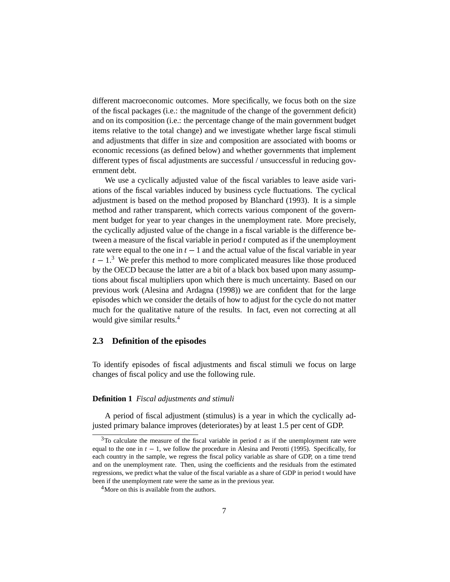different macroeconomic outcomes. More specifically, we focus both on the size of the fiscal packages (i.e.: the magnitude of the change of the government deficit) and on its composition (i.e.: the percentage change of the main government budget items relative to the total change) and we investigate whether large fiscal stimuli and adjustments that differ in size and composition are associated with booms or economic recessions (as defined below) and whether governments that implement different types of fiscal adjustments are successful / unsuccessful in reducing government debt.

We use a cyclically adjusted value of the fiscal variables to leave aside variations of the fiscal variables induced by business cycle fluctuations. The cyclical adjustment is based on the method proposed by Blanchard (1993). It is a simple method and rather transparent, which corrects various component of the government budget for year to year changes in the unemployment rate. More precisely, the cyclically adjusted value of the change in a fiscal variable is the difference between a measure of the fiscal variable in period *t* computed as if the unemployment rate were equal to the one in  $t - 1$  and the actual value of the fiscal variable in year  $t - 1$ <sup>3</sup>. We prefer this method to more complicated measures like those produced by the OECD because the latter are a bit of a black box based upon many assumptions about fiscal multipliers upon which there is much uncertainty. Based on our previous work (Alesina and Ardagna (1998)) we are confident that for the large episodes which we consider the details of how to adjust for the cycle do not matter much for the qualitative nature of the results. In fact, even not correcting at all would give similar results.<sup>4</sup>

#### **2.3 Definition of the episodes**

To identify episodes of fiscal adjustments and fiscal stimuli we focus on large changes of fiscal policy and use the following rule.

#### **Definition 1** *Fiscal adjustments and stimuli*

A period of fiscal adjustment (stimulus) is a year in which the cyclically adjusted primary balance improves (deteriorates) by at least 1.5 per cent of GDP.

 $3$ To calculate the measure of the fiscal variable in period  $t$  as if the unemployment rate were equal to the one in *<sup>t</sup>* <sup>−</sup> 1, we follow the procedure in Alesina and Perotti (1995). Specifically, for each country in the sample, we regress the fiscal policy variable as share of GDP, on a time trend and on the unemployment rate. Then, using the coefficients and the residuals from the estimated regressions, we predict what the value of the fiscal variable as a share of GDP in period t would have been if the unemployment rate were the same as in the previous year.

<sup>&</sup>lt;sup>4</sup>More on this is available from the authors.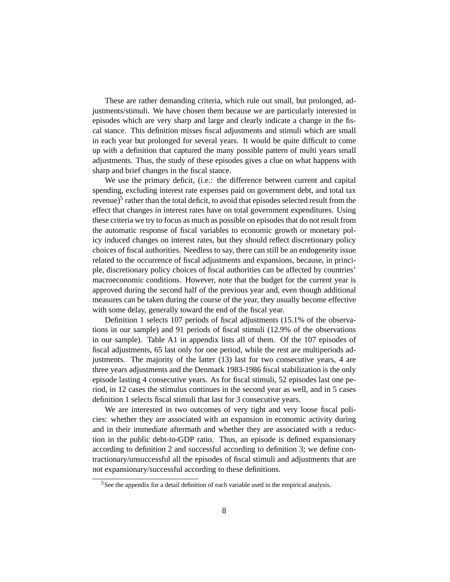These are rather demanding criteria, which rule out small, but prolonged, adjustments/stimuli. We have chosen them because we are particularly interested in episodes which are very sharp and large and clearly indicate a change in the fiscal stance. This definition misses fiscal adjustments and stimuli which are small in each year but prolonged for several years. It would be quite difficult to come up with a definition that captured the many possible pattern of multi years small adjustments. Thus, the study of these episodes gives a clue on what happens with sharp and brief changes in the fiscal stance.

We use the primary deficit, (i.e.: the difference between current and capital spending, excluding interest rate expenses paid on government debt, and total tax revenue) $<sup>5</sup>$  rather than the total deficit, to avoid that episodes selected result from the</sup> effect that changes in interest rates have on total government expenditures. Using these criteria we try to focus as much as possible on episodes that do not result from the automatic response of fiscal variables to economic growth or monetary policy induced changes on interest rates, but they should reflect discretionary policy choices of fiscal authorities. Needless to say, there can still be an endogeneity issue related to the occurrence of fiscal adjustments and expansions, because, in principle, discretionary policy choices of fiscal authorities can be affected by countries' macroeconomic conditions. However, note that the budget for the current year is approved during the second half of the previous year and, even though additional measures can be taken during the course of the year, they usually become effective with some delay, generally toward the end of the fiscal year.

Definition 1 selects 107 periods of fiscal adjustments (15.1% of the observations in our sample) and 91 periods of fiscal stimuli (12.9% of the observations in our sample). Table A1 in appendix lists all of them. Of the 107 episodes of fiscal adjustments, 65 last only for one period, while the rest are multiperiods adjustments. The majority of the latter (13) last for two consecutive years, 4 are three years adjustments and the Denmark 1983-1986 fiscal stabilization is the only episode lasting 4 consecutive years. As for fiscal stimuli, 52 episodes last one period, in 12 cases the stimulus continues in the second year as well, and in 5 cases definition 1 selects fiscal stimuli that last for 3 consecutive years.

We are interested in two outcomes of very tight and very loose fiscal policies: whether they are associated with an expansion in economic activity during and in their immediate aftermath and whether they are associated with a reduction in the public debt-to-GDP ratio. Thus, an episode is defined expansionary according to definition 2 and successful according to definition 3; we define contractionary/unsuccessful all the episodes of fiscal stimuli and adjustments that are not expansionary/successful according to these definitions.

<sup>5</sup>See the appendix for a detail definition of each variable used in the empirical analysis.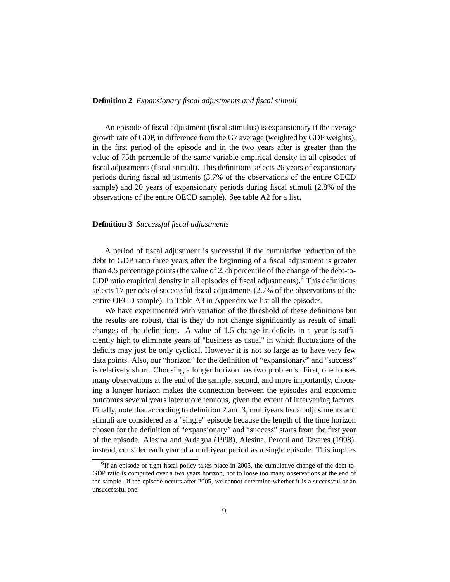#### **Definition 2** *Expansionary fiscal adjustments and fiscal stimuli*

An episode of fiscal adjustment (fiscal stimulus) is expansionary if the average growth rate of GDP, in difference from the G7 average (weighted by GDP weights), in the first period of the episode and in the two years after is greater than the value of 75th percentile of the same variable empirical density in all episodes of fiscal adjustments (fiscal stimuli). This definitions selects 26 years of expansionary periods during fiscal adjustments (3.7% of the observations of the entire OECD sample) and 20 years of expansionary periods during fiscal stimuli (2.8% of the observations of the entire OECD sample). See table A2 for a list.

#### **Definition 3** *Successful fiscal adjustments*

A period of fiscal adjustment is successful if the cumulative reduction of the debt to GDP ratio three years after the beginning of a fiscal adjustment is greater than 4.5 percentage points (the value of 25th percentile of the change of the debt-to-GDP ratio empirical density in all episodes of fiscal adjustments).<sup>6</sup> This definitions selects 17 periods of successful fiscal adjustments (2.7% of the observations of the entire OECD sample). In Table A3 in Appendix we list all the episodes.

We have experimented with variation of the threshold of these definitions but the results are robust, that is they do not change significantly as result of small changes of the definitions. A value of 1.5 change in deficits in a year is sufficiently high to eliminate years of "business as usual" in which fluctuations of the deficits may just be only cyclical. However it is not so large as to have very few data points. Also, our "horizon" for the definition of "expansionary" and "success" is relatively short. Choosing a longer horizon has two problems. First, one looses many observations at the end of the sample; second, and more importantly, choosing a longer horizon makes the connection between the episodes and economic outcomes several years later more tenuous, given the extent of intervening factors. Finally, note that according to definition 2 and 3, multiyears fiscal adjustments and stimuli are considered as a "single" episode because the length of the time horizon chosen for the definition of "expansionary" and "success" starts from the first year of the episode. Alesina and Ardagna (1998), Alesina, Perotti and Tavares (1998), instead, consider each year of a multiyear period as a single episode. This implies

 $<sup>6</sup>$ If an episode of tight fiscal policy takes place in 2005, the cumulative change of the debt-to-</sup> GDP ratio is computed over a two years horizon, not to loose too many observations at the end of the sample. If the episode occurs after 2005, we cannot determine whether it is a successful or an unsuccessful one.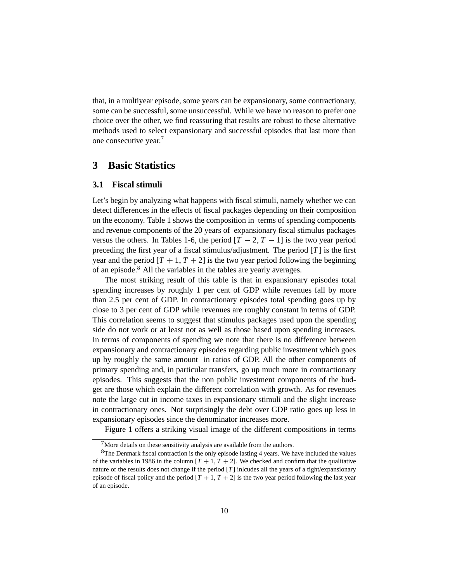that, in a multiyear episode, some years can be expansionary, some contractionary, some can be successful, some unsuccessful. While we have no reason to prefer one choice over the other, we find reassuring that results are robust to these alternative methods used to select expansionary and successful episodes that last more than one consecutive year.7

## **3 Basic Statistics**

#### **3.1 Fiscal stimuli**

Let's begin by analyzing what happens with fiscal stimuli, namely whether we can detect differences in the effects of fiscal packages depending on their composition on the economy. Table 1 shows the composition in terms of spending components and revenue components of the 20 years of expansionary fiscal stimulus packages versus the others. In Tables 1-6, the period  $[T - 2, T - 1]$  is the two year period preceding the first year of a fiscal stimulus/adjustment. The period [*T* ] is the first year and the period  $[T + 1, T + 2]$  is the two year period following the beginning of an episode.<sup>8</sup> All the variables in the tables are yearly averages.

The most striking result of this table is that in expansionary episodes total spending increases by roughly 1 per cent of GDP while revenues fall by more than 2.5 per cent of GDP. In contractionary episodes total spending goes up by close to 3 per cent of GDP while revenues are roughly constant in terms of GDP. This correlation seems to suggest that stimulus packages used upon the spending side do not work or at least not as well as those based upon spending increases. In terms of components of spending we note that there is no difference between expansionary and contractionary episodes regarding public investment which goes up by roughly the same amount in ratios of GDP. All the other components of primary spending and, in particular transfers, go up much more in contractionary episodes. This suggests that the non public investment components of the budget are those which explain the different correlation with growth. As for revenues note the large cut in income taxes in expansionary stimuli and the slight increase in contractionary ones. Not surprisingly the debt over GDP ratio goes up less in expansionary episodes since the denominator increases more.

Figure 1 offers a striking visual image of the different compositions in terms

 $7$ More details on these sensitivity analysis are available from the authors.

<sup>&</sup>lt;sup>8</sup>The Denmark fiscal contraction is the only episode lasting 4 years. We have included the values of the variables in 1986 in the column  $[T + 1, T + 2]$ . We checked and confirm that the qualitative nature of the results does not change if the period [*T* ] inlcudes all the years of a tight/expansionary episode of fiscal policy and the period  $[T + 1, T + 2]$  is the two year period following the last year of an episode.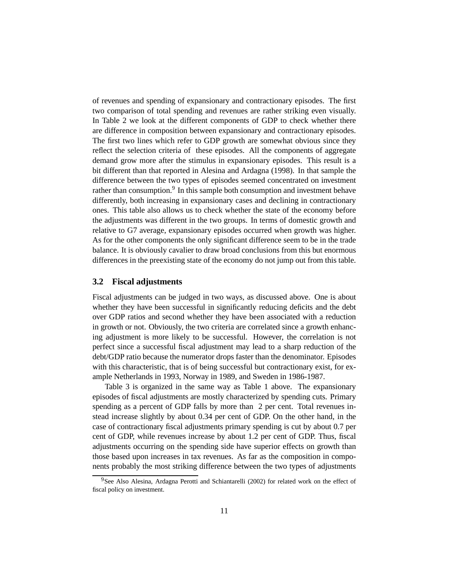of revenues and spending of expansionary and contractionary episodes. The first two comparison of total spending and revenues are rather striking even visually. In Table 2 we look at the different components of GDP to check whether there are difference in composition between expansionary and contractionary episodes. The first two lines which refer to GDP growth are somewhat obvious since they reflect the selection criteria of these episodes. All the components of aggregate demand grow more after the stimulus in expansionary episodes. This result is a bit different than that reported in Alesina and Ardagna (1998). In that sample the difference between the two types of episodes seemed concentrated on investment rather than consumption.<sup>9</sup> In this sample both consumption and investment behave differently, both increasing in expansionary cases and declining in contractionary ones. This table also allows us to check whether the state of the economy before the adjustments was different in the two groups. In terms of domestic growth and relative to G7 average, expansionary episodes occurred when growth was higher. As for the other components the only significant difference seem to be in the trade balance. It is obviously cavalier to draw broad conclusions from this but enormous differences in the preexisting state of the economy do not jump out from this table.

#### **3.2 Fiscal adjustments**

Fiscal adjustments can be judged in two ways, as discussed above. One is about whether they have been successful in significantly reducing deficits and the debt over GDP ratios and second whether they have been associated with a reduction in growth or not. Obviously, the two criteria are correlated since a growth enhancing adjustment is more likely to be successful. However, the correlation is not perfect since a successful fiscal adjustment may lead to a sharp reduction of the debt/GDP ratio because the numerator drops faster than the denominator. Episodes with this characteristic, that is of being successful but contractionary exist, for example Netherlands in 1993, Norway in 1989, and Sweden in 1986-1987.

Table 3 is organized in the same way as Table 1 above. The expansionary episodes of fiscal adjustments are mostly characterized by spending cuts. Primary spending as a percent of GDP falls by more than 2 per cent. Total revenues instead increase slightly by about 0.34 per cent of GDP. On the other hand, in the case of contractionary fiscal adjustments primary spending is cut by about 0.7 per cent of GDP, while revenues increase by about 1.2 per cent of GDP. Thus, fiscal adjustments occurring on the spending side have superior effects on growth than those based upon increases in tax revenues. As far as the composition in components probably the most striking difference between the two types of adjustments

<sup>&</sup>lt;sup>9</sup>See Also Alesina, Ardagna Perotti and Schiantarelli (2002) for related work on the effect of fiscal policy on investment.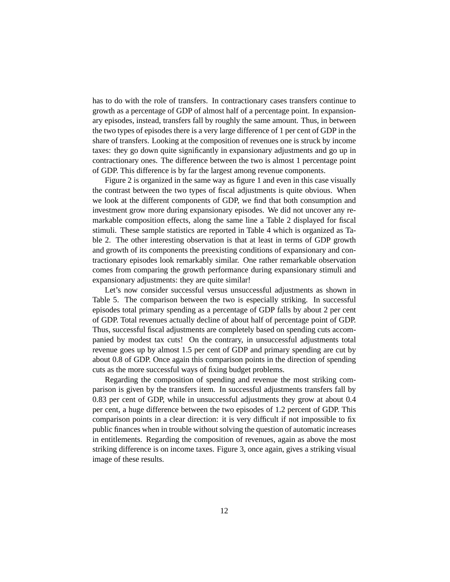has to do with the role of transfers. In contractionary cases transfers continue to growth as a percentage of GDP of almost half of a percentage point. In expansionary episodes, instead, transfers fall by roughly the same amount. Thus, in between the two types of episodes there is a very large difference of 1 per cent of GDP in the share of transfers. Looking at the composition of revenues one is struck by income taxes: they go down quite significantly in expansionary adjustments and go up in contractionary ones. The difference between the two is almost 1 percentage point of GDP. This difference is by far the largest among revenue components.

Figure 2 is organized in the same way as figure 1 and even in this case visually the contrast between the two types of fiscal adjustments is quite obvious. When we look at the different components of GDP, we find that both consumption and investment grow more during expansionary episodes. We did not uncover any remarkable composition effects, along the same line a Table 2 displayed for fiscal stimuli. These sample statistics are reported in Table 4 which is organized as Table 2. The other interesting observation is that at least in terms of GDP growth and growth of its components the preexisting conditions of expansionary and contractionary episodes look remarkably similar. One rather remarkable observation comes from comparing the growth performance during expansionary stimuli and expansionary adjustments: they are quite similar!

Let's now consider successful versus unsuccessful adjustments as shown in Table 5. The comparison between the two is especially striking. In successful episodes total primary spending as a percentage of GDP falls by about 2 per cent of GDP. Total revenues actually decline of about half of percentage point of GDP. Thus, successful fiscal adjustments are completely based on spending cuts accompanied by modest tax cuts! On the contrary, in unsuccessful adjustments total revenue goes up by almost 1.5 per cent of GDP and primary spending are cut by about 0.8 of GDP. Once again this comparison points in the direction of spending cuts as the more successful ways of fixing budget problems.

Regarding the composition of spending and revenue the most striking comparison is given by the transfers item. In successful adjustments transfers fall by 0.83 per cent of GDP, while in unsuccessful adjustments they grow at about 0.4 per cent, a huge difference between the two episodes of 1.2 percent of GDP. This comparison points in a clear direction: it is very difficult if not impossible to fix public finances when in trouble without solving the question of automatic increases in entitlements. Regarding the composition of revenues, again as above the most striking difference is on income taxes. Figure 3, once again, gives a striking visual image of these results.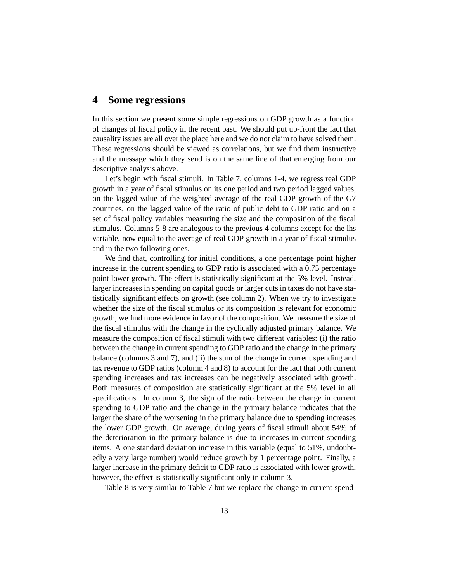## **4 Some regressions**

In this section we present some simple regressions on GDP growth as a function of changes of fiscal policy in the recent past. We should put up-front the fact that causality issues are all over the place here and we do not claim to have solved them. These regressions should be viewed as correlations, but we find them instructive and the message which they send is on the same line of that emerging from our descriptive analysis above.

Let's begin with fiscal stimuli. In Table 7, columns 1-4, we regress real GDP growth in a year of fiscal stimulus on its one period and two period lagged values, on the lagged value of the weighted average of the real GDP growth of the G7 countries, on the lagged value of the ratio of public debt to GDP ratio and on a set of fiscal policy variables measuring the size and the composition of the fiscal stimulus. Columns 5-8 are analogous to the previous 4 columns except for the lhs variable, now equal to the average of real GDP growth in a year of fiscal stimulus and in the two following ones.

We find that, controlling for initial conditions, a one percentage point higher increase in the current spending to GDP ratio is associated with a 0.75 percentage point lower growth. The effect is statistically significant at the 5% level. Instead, larger increases in spending on capital goods or larger cuts in taxes do not have statistically significant effects on growth (see column 2). When we try to investigate whether the size of the fiscal stimulus or its composition is relevant for economic growth, we find more evidence in favor of the composition. We measure the size of the fiscal stimulus with the change in the cyclically adjusted primary balance. We measure the composition of fiscal stimuli with two different variables: (i) the ratio between the change in current spending to GDP ratio and the change in the primary balance (columns 3 and 7), and (ii) the sum of the change in current spending and tax revenue to GDP ratios (column 4 and 8) to account for the fact that both current spending increases and tax increases can be negatively associated with growth. Both measures of composition are statistically significant at the 5% level in all specifications. In column 3, the sign of the ratio between the change in current spending to GDP ratio and the change in the primary balance indicates that the larger the share of the worsening in the primary balance due to spending increases the lower GDP growth. On average, during years of fiscal stimuli about 54% of the deterioration in the primary balance is due to increases in current spending items. A one standard deviation increase in this variable (equal to 51%, undoubtedly a very large number) would reduce growth by 1 percentage point. Finally, a larger increase in the primary deficit to GDP ratio is associated with lower growth, however, the effect is statistically significant only in column 3.

Table 8 is very similar to Table 7 but we replace the change in current spend-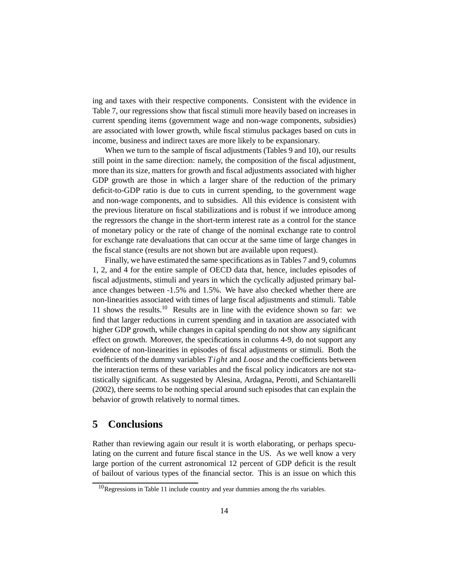ing and taxes with their respective components. Consistent with the evidence in Table 7, our regressions show that fiscal stimuli more heavily based on increases in current spending items (government wage and non-wage components, subsidies) are associated with lower growth, while fiscal stimulus packages based on cuts in income, business and indirect taxes are more likely to be expansionary.

When we turn to the sample of fiscal adjustments (Tables 9 and 10), our results still point in the same direction: namely, the composition of the fiscal adjustment, more than its size, matters for growth and fiscal adjustments associated with higher GDP growth are those in which a larger share of the reduction of the primary deficit-to-GDP ratio is due to cuts in current spending, to the government wage and non-wage components, and to subsidies. All this evidence is consistent with the previous literature on fiscal stabilizations and is robust if we introduce among the regressors the change in the short-term interest rate as a control for the stance of monetary policy or the rate of change of the nominal exchange rate to control for exchange rate devaluations that can occur at the same time of large changes in the fiscal stance (results are not shown but are available upon request).

Finally, we have estimated the same specifications as in Tables 7 and 9, columns 1, 2, and 4 for the entire sample of OECD data that, hence, includes episodes of fiscal adjustments, stimuli and years in which the cyclically adjusted primary balance changes between -1.5% and 1.5%. We have also checked whether there are non-linearities associated with times of large fiscal adjustments and stimuli. Table 11 shows the results.10 Results are in line with the evidence shown so far: we find that larger reductions in current spending and in taxation are associated with higher GDP growth, while changes in capital spending do not show any significant effect on growth. Moreover, the specifications in columns 4-9, do not support any evidence of non-linearities in episodes of fiscal adjustments or stimuli. Both the coefficients of the dummy variables *Tight* and *Loose* and the coefficients between the interaction terms of these variables and the fiscal policy indicators are not statistically significant. As suggested by Alesina, Ardagna, Perotti, and Schiantarelli (2002), there seems to be nothing special around such episodes that can explain the behavior of growth relatively to normal times.

## **5 Conclusions**

Rather than reviewing again our result it is worth elaborating, or perhaps speculating on the current and future fiscal stance in the US. As we well know a very large portion of the current astronomical 12 percent of GDP deficit is the result of bailout of various types of the financial sector. This is an issue on which this

 $10$ Regressions in Table 11 include country and year dummies among the rhs variables.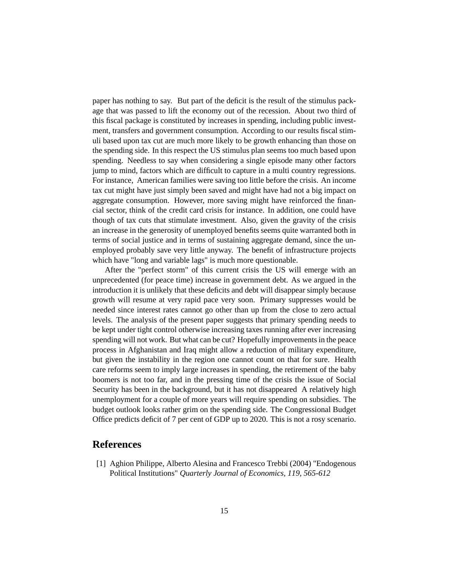paper has nothing to say. But part of the deficit is the result of the stimulus package that was passed to lift the economy out of the recession. About two third of this fiscal package is constituted by increases in spending, including public investment, transfers and government consumption. According to our results fiscal stimuli based upon tax cut are much more likely to be growth enhancing than those on the spending side. In this respect the US stimulus plan seems too much based upon spending. Needless to say when considering a single episode many other factors jump to mind, factors which are difficult to capture in a multi country regressions. For instance, American families were saving too little before the crisis. An income tax cut might have just simply been saved and might have had not a big impact on aggregate consumption. However, more saving might have reinforced the financial sector, think of the credit card crisis for instance. In addition, one could have though of tax cuts that stimulate investment. Also, given the gravity of the crisis an increase in the generosity of unemployed benefits seems quite warranted both in terms of social justice and in terms of sustaining aggregate demand, since the unemployed probably save very little anyway. The benefit of infrastructure projects which have "long and variable lags" is much more questionable.

After the "perfect storm" of this current crisis the US will emerge with an unprecedented (for peace time) increase in government debt. As we argued in the introduction it is unlikely that these deficits and debt will disappear simply because growth will resume at very rapid pace very soon. Primary suppresses would be needed since interest rates cannot go other than up from the close to zero actual levels. The analysis of the present paper suggests that primary spending needs to be kept under tight control otherwise increasing taxes running after ever increasing spending will not work. But what can be cut? Hopefully improvements in the peace process in Afghanistan and Iraq might allow a reduction of military expenditure, but given the instability in the region one cannot count on that for sure. Health care reforms seem to imply large increases in spending, the retirement of the baby boomers is not too far, and in the pressing time of the crisis the issue of Social Security has been in the background, but it has not disappeared A relatively high unemployment for a couple of more years will require spending on subsidies. The budget outlook looks rather grim on the spending side. The Congressional Budget Office predicts deficit of 7 per cent of GDP up to 2020. This is not a rosy scenario.

## **References**

[1] Aghion Philippe, Alberto Alesina and Francesco Trebbi (2004) "Endogenous Political Institutions" *Quarterly Journal of Economics, 119, 565-612*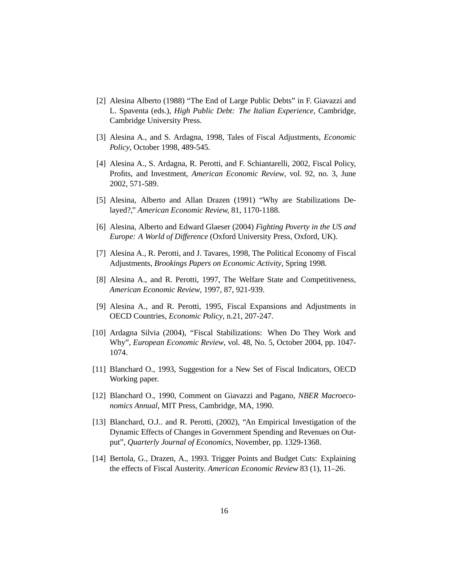- [2] Alesina Alberto (1988) "The End of Large Public Debts" in F. Giavazzi and L. Spaventa (eds.), *High Public Debt: The Italian Experience,* Cambridge, Cambridge University Press.
- [3] Alesina A., and S. Ardagna, 1998, Tales of Fiscal Adjustments, *Economic Policy*, October 1998, 489-545.
- [4] Alesina A., S. Ardagna, R. Perotti, and F. Schiantarelli, 2002, Fiscal Policy, Profits, and Investment, *American Economic Review*, vol. 92, no. 3, June 2002, 571-589.
- [5] Alesina, Alberto and Allan Drazen (1991) "Why are Stabilizations Delayed?," *American Economic Review,* 81, 1170-1188.
- [6] Alesina, Alberto and Edward Glaeser (2004) *Fighting Poverty in the US and Europe: A World of Difference* (Oxford University Press, Oxford, UK).
- [7] Alesina A., R. Perotti, and J. Tavares, 1998, The Political Economy of Fiscal Adjustments, *Brookings Papers on Economic Activity*, Spring 1998.
- [8] Alesina A., and R. Perotti, 1997, The Welfare State and Competitiveness, *American Economic Review*, 1997, 87, 921-939.
- [9] Alesina A., and R. Perotti, 1995, Fiscal Expansions and Adjustments in OECD Countries, *Economic Policy*, n.21, 207-247.
- [10] Ardagna Silvia (2004), "Fiscal Stabilizations: When Do They Work and Why", *European Economic Review*, vol. 48, No. 5, October 2004, pp. 1047- 1074.
- [11] Blanchard O., 1993, Suggestion for a New Set of Fiscal Indicators, OECD Working paper.
- [12] Blanchard O., 1990, Comment on Giavazzi and Pagano, *NBER Macroeconomics Annual*, MIT Press, Cambridge, MA, 1990.
- [13] Blanchard, O.J.. and R. Perotti, (2002), "An Empirical Investigation of the Dynamic Effects of Changes in Government Spending and Revenues on Output", *Quarterly Journal of Economics*, November, pp. 1329-1368.
- [14] Bertola, G., Drazen, A., 1993. Trigger Points and Budget Cuts: Explaining the effects of Fiscal Austerity. *American Economic Review* 83 (1), 11–26.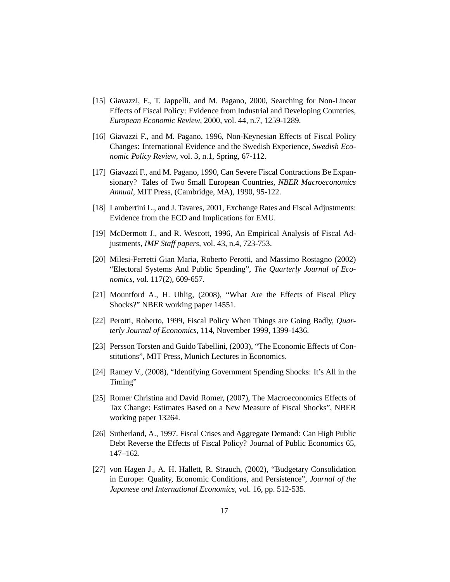- [15] Giavazzi, F., T. Jappelli, and M. Pagano, 2000, Searching for Non-Linear Effects of Fiscal Policy: Evidence from Industrial and Developing Countries, *European Economic Review*, 2000, vol. 44, n.7, 1259-1289.
- [16] Giavazzi F., and M. Pagano, 1996, Non-Keynesian Effects of Fiscal Policy Changes: International Evidence and the Swedish Experience, *Swedish Economic Policy Review*, vol. 3, n.1, Spring, 67-112.
- [17] Giavazzi F., and M. Pagano, 1990, Can Severe Fiscal Contractions Be Expansionary? Tales of Two Small European Countries, *NBER Macroeconomics Annual,* MIT Press, (Cambridge, MA), 1990, 95-122.
- [18] Lambertini L., and J. Tavares, 2001, Exchange Rates and Fiscal Adjustments: Evidence from the ECD and Implications for EMU.
- [19] McDermott J., and R. Wescott, 1996, An Empirical Analysis of Fiscal Adjustments, *IMF Staff papers,* vol. 43, n.4, 723-753.
- [20] Milesi-Ferretti Gian Maria, Roberto Perotti, and Massimo Rostagno (2002) "Electoral Systems And Public Spending", *The Quarterly Journal of Economics*, vol. 117(2), 609-657.
- [21] Mountford A., H. Uhlig, (2008), "What Are the Effects of Fiscal Plicy Shocks?" NBER working paper 14551.
- [22] Perotti, Roberto, 1999, Fiscal Policy When Things are Going Badly, *Quarterly Journal of Economics*, 114, November 1999, 1399-1436.
- [23] Persson Torsten and Guido Tabellini, (2003), "The Economic Effects of Constitutions", MIT Press, Munich Lectures in Economics.
- [24] Ramey V., (2008), "Identifying Government Spending Shocks: It's All in the Timing"
- [25] Romer Christina and David Romer, (2007), The Macroeconomics Effects of Tax Change: Estimates Based on a New Measure of Fiscal Shocks", NBER working paper 13264.
- [26] Sutherland, A., 1997. Fiscal Crises and Aggregate Demand: Can High Public Debt Reverse the Effects of Fiscal Policy? Journal of Public Economics 65, 147–162.
- [27] von Hagen J., A. H. Hallett, R. Strauch, (2002), "Budgetary Consolidation in Europe: Quality, Economic Conditions, and Persistence", *Journal of the Japanese and International Economics*, vol. 16, pp. 512-535.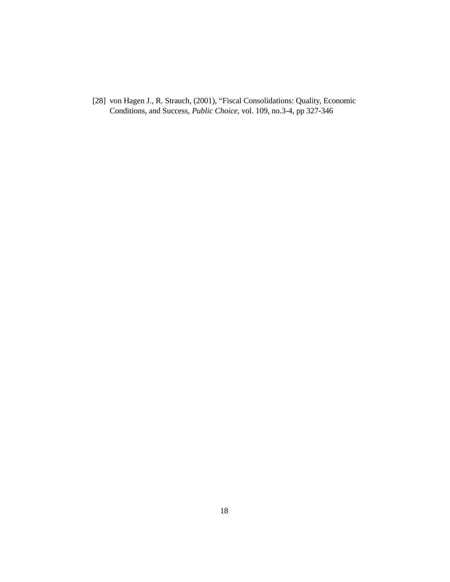[28] von Hagen J., R. Strauch, (2001), "Fiscal Consolidations: Quality, Economic Conditions, and Success, *Public Choice*, vol. 109, no.3-4, pp 327-346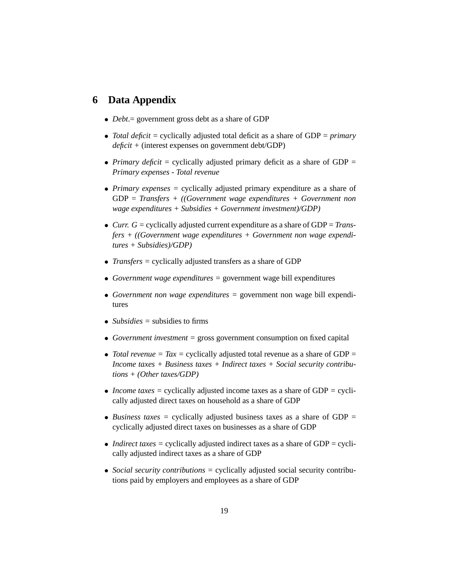# **6 Data Appendix**

- *Debt*.= government gross debt as a share of GDP
- *Total deficit* = cyclically adjusted total deficit as a share of GDP = *primary deficit +* (interest expenses on government debt/GDP)
- *Primary deficit* = cyclically adjusted primary deficit as a share of GDP = *Primary expenses - Total revenue*
- *Primary expenses =* cyclically adjusted primary expenditure as a share of GDP = *Transfers + ((Government wage expenditures + Government non wage expenditures + Subsidies + Government investment)/GDP)*
- *Curr. G =* cyclically adjusted current expenditure as a share of GDP = *Transfers + ((Government wage expenditures + Government non wage expenditures + Subsidies)/GDP)*
- *Transfers =* cyclically adjusted transfers as a share of GDP
- *Government wage expenditures =* government wage bill expenditures
- *Government non wage expenditures =* government non wage bill expenditures
- *Subsidies* = subsidies to firms
- *Government investment =* gross government consumption on fixed capital
- *Total revenue = Tax = cyclically adjusted total revenue as a share of GDP = Income taxes + Business taxes + Indirect taxes + Social security contributions + (Other taxes/GDP)*
- *Income taxes =* cyclically adjusted income taxes as a share of GDP *<sup>=</sup>* cyclically adjusted direct taxes on household as a share of GDP
- *Business taxes =* cyclically adjusted business taxes as a share of GDP = cyclically adjusted direct taxes on businesses as a share of GDP
- *Indirect taxes* = cyclically adjusted indirect taxes as a share of GDP = cyclically adjusted indirect taxes as a share of GDP
- *Social security contributions =* cyclically adjusted social security contributions paid by employers and employees as a share of GDP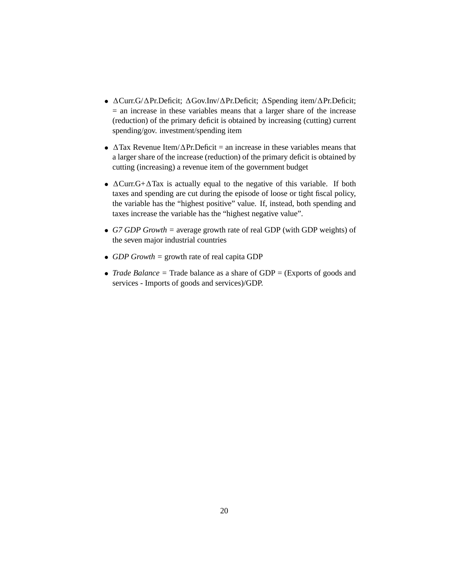- $\Delta$ Curr.G/ $\Delta$ Pr.Deficit;  $\Delta$ Gov.Inv/ $\Delta$ Pr.Deficit;  $\Delta$ Spending item/ $\Delta$ Pr.Deficit;  $=$  an increase in these variables means that a larger share of the increase (reduction) of the primary deficit is obtained by increasing (cutting) current spending/gov. investment/spending item
- $\Delta$ Tax Revenue Item/ $\Delta$ Pr.Deficit = an increase in these variables means that a larger share of the increase (reduction) of the primary deficit is obtained by cutting (increasing) a revenue item of the government budget
- $\Delta$ Curr.G+ $\Delta$ Tax is actually equal to the negative of this variable. If both taxes and spending are cut during the episode of loose or tight fiscal policy, the variable has the "highest positive" value. If, instead, both spending and taxes increase the variable has the "highest negative value".
- *G7 GDP Growth =* average growth rate of real GDP (with GDP weights) of the seven major industrial countries
- *GDP Growth =* growth rate of real capita GDP
- *Trade Balance* = Trade balance as a share of GDP = (Exports of goods and services - Imports of goods and services)/GDP.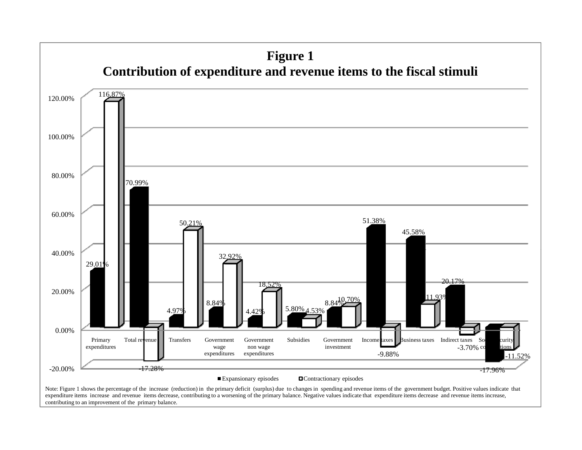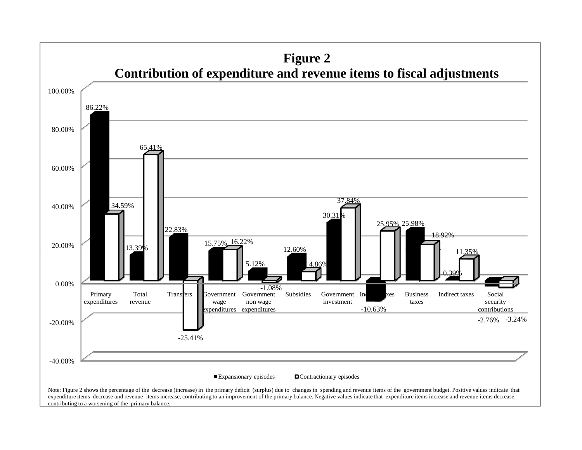

contributing to a worsening of the primary balance.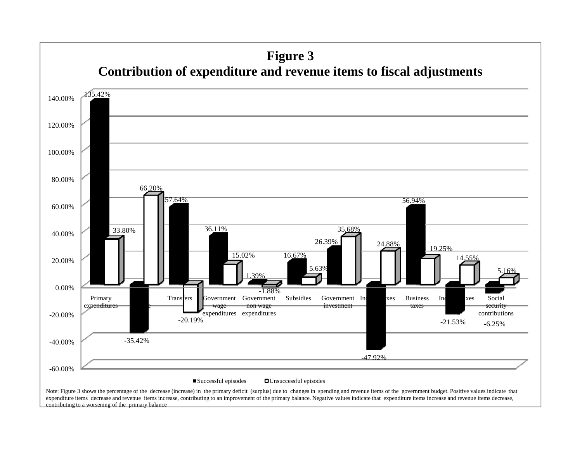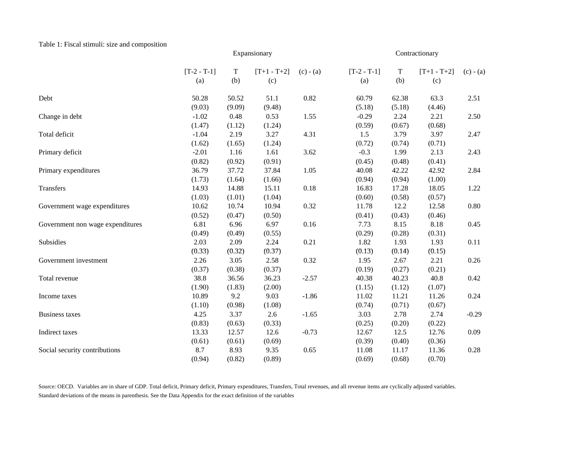#### Table 1: Fiscal stimuli: size and composition

|                                  |                      |          | Expansionary         |             |                      |                    | Contractionary       |             |
|----------------------------------|----------------------|----------|----------------------|-------------|----------------------|--------------------|----------------------|-------------|
|                                  | $[T-2 - T-1]$<br>(a) | T<br>(b) | $[T+1 - T+2]$<br>(c) | $(c) - (a)$ | $[T-2 - T-1]$<br>(a) | $\mathbf T$<br>(b) | $[T+1 - T+2]$<br>(c) | $(c) - (a)$ |
| Debt                             | 50.28                | 50.52    | 51.1                 | 0.82        | 60.79                | 62.38              | 63.3                 | 2.51        |
|                                  | (9.03)               | (9.09)   | (9.48)               |             | (5.18)               | (5.18)             | (4.46)               |             |
| Change in debt                   | $-1.02$              | 0.48     | 0.53                 | 1.55        | $-0.29$              | 2.24               | 2.21                 | 2.50        |
|                                  | (1.47)               | (1.12)   | (1.24)               |             | (0.59)               | (0.67)             | (0.68)               |             |
| Total deficit                    | $-1.04$              | 2.19     | 3.27                 | 4.31        | 1.5                  | 3.79               | 3.97                 | 2.47        |
|                                  | (1.62)               | (1.65)   | (1.24)               |             | (0.72)               | (0.74)             | (0.71)               |             |
| Primary deficit                  | $-2.01$              | 1.16     | 1.61                 | 3.62        | $-0.3$               | 1.99               | 2.13                 | 2.43        |
|                                  | (0.82)               | (0.92)   | (0.91)               |             | (0.45)               | (0.48)             | (0.41)               |             |
| Primary expenditures             | 36.79                | 37.72    | 37.84                | 1.05        | 40.08                | 42.22              | 42.92                | 2.84        |
|                                  | (1.73)               | (1.64)   | (1.66)               |             | (0.94)               | (0.94)             | (1.00)               |             |
| Transfers                        | 14.93                | 14.88    | 15.11                | 0.18        | 16.83                | 17.28              | 18.05                | 1.22        |
|                                  | (1.03)               | (1.01)   | (1.04)               |             | (0.60)               | (0.58)             | (0.57)               |             |
| Government wage expenditures     | 10.62                | 10.74    | 10.94                | 0.32        | 11.78                | 12.2               | 12.58                | 0.80        |
|                                  | (0.52)               | (0.47)   | (0.50)               |             | (0.41)               | (0.43)             | (0.46)               |             |
| Government non wage expenditures | 6.81                 | 6.96     | 6.97                 | 0.16        | 7.73                 | 8.15               | 8.18                 | 0.45        |
|                                  | (0.49)               | (0.49)   | (0.55)               |             | (0.29)               | (0.28)             | (0.31)               |             |
| Subsidies                        | 2.03                 | 2.09     | 2.24                 | 0.21        | 1.82                 | 1.93               | 1.93                 | 0.11        |
|                                  | (0.33)               | (0.32)   | (0.37)               |             | (0.13)               | (0.14)             | (0.15)               |             |
| Government investment            | 2.26                 | 3.05     | 2.58                 | 0.32        | 1.95                 | 2.67               | 2.21                 | 0.26        |
|                                  | (0.37)               | (0.38)   | (0.37)               |             | (0.19)               | (0.27)             | (0.21)               |             |
| Total revenue                    | 38.8                 | 36.56    | 36.23                | $-2.57$     | 40.38                | 40.23              | 40.8                 | 0.42        |
|                                  | (1.90)               | (1.83)   | (2.00)               |             | (1.15)               | (1.12)             | (1.07)               |             |
| Income taxes                     | 10.89                | 9.2      | 9.03                 | $-1.86$     | 11.02                | 11.21              | 11.26                | 0.24        |
|                                  | (1.10)               | (0.98)   | (1.08)               |             | (0.74)               | (0.71)             | (0.67)               |             |
| <b>Business taxes</b>            | 4.25                 | 3.37     | 2.6                  | $-1.65$     | 3.03                 | 2.78               | 2.74                 | $-0.29$     |
|                                  | (0.83)               | (0.63)   | (0.33)               |             | (0.25)               | (0.20)             | (0.22)               |             |
| Indirect taxes                   | 13.33                | 12.57    | 12.6                 | $-0.73$     | 12.67                | 12.5               | 12.76                | 0.09        |
|                                  | (0.61)               | (0.61)   | (0.69)               |             | (0.39)               | (0.40)             | (0.36)               |             |
| Social security contributions    | 8.7                  | 8.93     | 9.35                 | 0.65        | 11.08                | 11.17              | 11.36                | 0.28        |
|                                  | (0.94)               | (0.82)   | (0.89)               |             | (0.69)               | (0.68)             | (0.70)               |             |

Source: OECD. Variables are in share of GDP. Total deficit, Primary deficit, Primary expenditures, Transfers, Total revenues, and all revenue items are cyclically adjusted variables. Standard deviations of the means in parenthesis. See the Data Appendix for the exact definition of the variables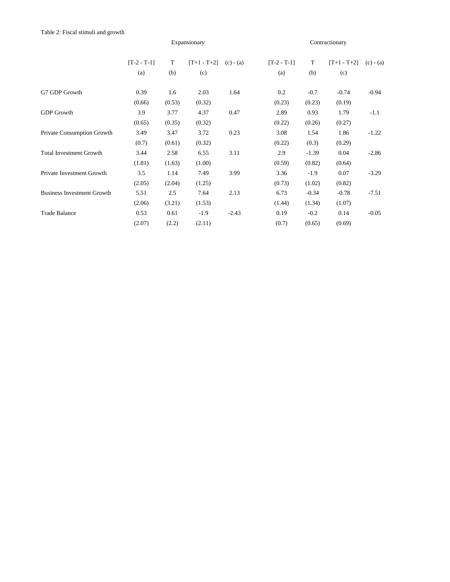|                                   |               |        | Expansionary  |             |               | Contractionary |               |             |  |
|-----------------------------------|---------------|--------|---------------|-------------|---------------|----------------|---------------|-------------|--|
|                                   | $[T-2 - T-1]$ | T      | $[T+1 - T+2]$ | $(c) - (a)$ | $[T-2 - T-1]$ | T              | $[T+1 - T+2]$ | $(c) - (a)$ |  |
|                                   | (a)           | (b)    | (c)           |             | (a)           | (b)            | (c)           |             |  |
| G7 GDP Growth                     | 0.39          | 1.6    | 2.03          | 1.64        | 0.2           | $-0.7$         | $-0.74$       | $-0.94$     |  |
|                                   | (0.66)        | (0.53) | (0.32)        |             | (0.23)        | (0.23)         | (0.19)        |             |  |
| <b>GDP</b> Growth                 | 3.9           | 3.77   | 4.37          | 0.47        | 2.89          | 0.93           | 1.79          | $-1.1$      |  |
|                                   | (0.65)        | (0.35) | (0.32)        |             | (0.22)        | (0.26)         | (0.27)        |             |  |
| Private Consumption Growth        | 3.49          | 3.47   | 3.72          | 0.23        | 3.08          | 1.54           | 1.86          | $-1.22$     |  |
|                                   | (0.7)         | (0.61) | (0.32)        |             | (0.22)        | (0.3)          | (0.29)        |             |  |
| <b>Total Investment Growth</b>    | 3.44          | 2.58   | 6.55          | 3.11        | 2.9           | $-1.39$        | 0.04          | $-2.86$     |  |
|                                   | (1.81)        | (1.63) | (1.00)        |             | (0.59)        | (0.82)         | (0.64)        |             |  |
| Private Investment Growth         | 3.5           | 1.14   | 7.49          | 3.99        | 3.36          | $-1.9$         | 0.07          | $-3.29$     |  |
|                                   | (2.05)        | (2.04) | (1.25)        |             | (0.73)        | (1.02)         | (0.82)        |             |  |
| <b>Business Investment Growth</b> | 5.51          | 2.5    | 7.64          | 2.13        | 6.73          | $-0.34$        | $-0.78$       | $-7.51$     |  |
|                                   | (2.06)        | (3.21) | (1.53)        |             | (1.44)        | (1.34)         | (1.07)        |             |  |
| <b>Trade Balance</b>              | 0.53          | 0.61   | $-1.9$        | $-2.43$     | 0.19          | $-0.2$         | 0.14          | $-0.05$     |  |
|                                   | (2.07)        | (2.2)  | (2.11)        |             | (0.7)         | (0.65)         | (0.69)        |             |  |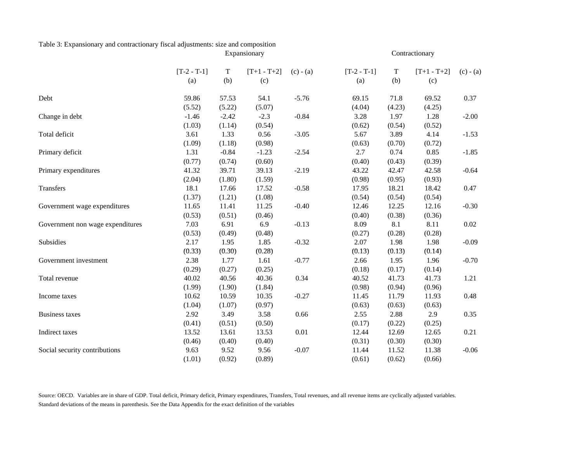# Table 3: Expansionary and contractionary fiscal adjustments: size and composition

|                                  |                      |                    | Expansionary         |             | Contractionary       |                    |                      |             |  |
|----------------------------------|----------------------|--------------------|----------------------|-------------|----------------------|--------------------|----------------------|-------------|--|
|                                  | $[T-2 - T-1]$<br>(a) | $\mathbf T$<br>(b) | $[T+1 - T+2]$<br>(c) | $(c) - (a)$ | $[T-2 - T-1]$<br>(a) | $\mathbf T$<br>(b) | $[T+1 - T+2]$<br>(c) | $(c) - (a)$ |  |
|                                  |                      |                    |                      |             |                      |                    |                      |             |  |
| Debt                             | 59.86                | 57.53              | 54.1                 | $-5.76$     | 69.15                | 71.8               | 69.52                | 0.37        |  |
|                                  | (5.52)               | (5.22)             | (5.07)               |             | (4.04)               | (4.23)             | (4.25)               |             |  |
| Change in debt                   | $-1.46$              | $-2.42$            | $-2.3$               | $-0.84$     | 3.28                 | 1.97               | 1.28                 | $-2.00$     |  |
|                                  | (1.03)               | (1.14)             | (0.54)               |             | (0.62)               | (0.54)             | (0.52)               |             |  |
| Total deficit                    | 3.61                 | 1.33               | 0.56                 | $-3.05$     | 5.67                 | 3.89               | 4.14                 | $-1.53$     |  |
|                                  | (1.09)               | (1.18)             | (0.98)               |             | (0.63)               | (0.70)             | (0.72)               |             |  |
| Primary deficit                  | 1.31                 | $-0.84$            | $-1.23$              | $-2.54$     | 2.7                  | 0.74               | 0.85                 | $-1.85$     |  |
|                                  | (0.77)               | (0.74)             | (0.60)               |             | (0.40)               | (0.43)             | (0.39)               |             |  |
| Primary expenditures             | 41.32                | 39.71              | 39.13                | $-2.19$     | 43.22                | 42.47              | 42.58                | $-0.64$     |  |
|                                  | (2.04)               | (1.80)             | (1.59)               |             | (0.98)               | (0.95)             | (0.93)               |             |  |
| Transfers                        | 18.1                 | 17.66              | 17.52                | $-0.58$     | 17.95                | 18.21              | 18.42                | 0.47        |  |
|                                  | (1.37)               | (1.21)             | (1.08)               |             | (0.54)               | (0.54)             | (0.54)               |             |  |
| Government wage expenditures     | 11.65                | 11.41              | 11.25                | $-0.40$     | 12.46                | 12.25              | 12.16                | $-0.30$     |  |
|                                  | (0.53)               | (0.51)             | (0.46)               |             | (0.40)               | (0.38)             | (0.36)               |             |  |
| Government non wage expenditures | 7.03                 | 6.91               | 6.9                  | $-0.13$     | 8.09                 | 8.1                | 8.11                 | 0.02        |  |
|                                  | (0.53)               | (0.49)             | (0.48)               |             | (0.27)               | (0.28)             | (0.28)               |             |  |
| Subsidies                        | 2.17                 | 1.95               | 1.85                 | $-0.32$     | 2.07                 | 1.98               | 1.98                 | $-0.09$     |  |
|                                  | (0.33)               | (0.30)             | (0.28)               |             | (0.13)               | (0.13)             | (0.14)               |             |  |
| Government investment            | 2.38                 | 1.77               | 1.61                 | $-0.77$     | 2.66                 | 1.95               | 1.96                 | $-0.70$     |  |
|                                  | (0.29)               | (0.27)             | (0.25)               |             | (0.18)               | (0.17)             | (0.14)               |             |  |
| Total revenue                    | 40.02                | 40.56              | 40.36                | 0.34        | 40.52                | 41.73              | 41.73                | 1.21        |  |
|                                  | (1.99)               | (1.90)             | (1.84)               |             | (0.98)               | (0.94)             | (0.96)               |             |  |
| Income taxes                     | 10.62                | 10.59              | 10.35                | $-0.27$     | 11.45                | 11.79              | 11.93                | 0.48        |  |
|                                  | (1.04)               | (1.07)             | (0.97)               |             | (0.63)               | (0.63)             | (0.63)               |             |  |
| <b>Business taxes</b>            | 2.92                 | 3.49               | 3.58                 | 0.66        | 2.55                 | 2.88               | 2.9                  | 0.35        |  |
|                                  | (0.41)               | (0.51)             | (0.50)               |             | (0.17)               | (0.22)             | (0.25)               |             |  |
| Indirect taxes                   | 13.52                | 13.61              | 13.53                | 0.01        | 12.44                | 12.69              | 12.65                | 0.21        |  |
|                                  | (0.46)               | (0.40)             | (0.40)               |             | (0.31)               | (0.30)             | (0.30)               |             |  |
| Social security contributions    | 9.63                 | 9.52               | 9.56                 | $-0.07$     | 11.44                | 11.52              | 11.38                | $-0.06$     |  |
|                                  | (1.01)               | (0.92)             | (0.89)               |             | (0.61)               | (0.62)             | (0.66)               |             |  |

Source: OECD. Variables are in share of GDP. Total deficit, Primary deficit, Primary expenditures, Transfers, Total revenues, and all revenue items are cyclically adjusted variables. Standard deviations of the means in parenthesis. See the Data Appendix for the exact definition of the variables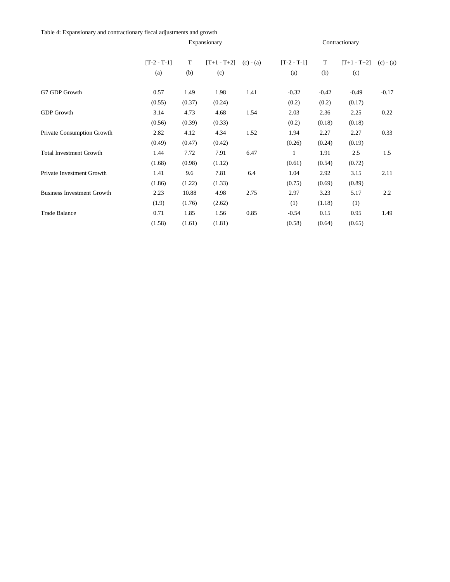Table 4: Expansionary and contractionary fiscal adjustments and growth

|                                   |               |        | Expansionary  |             |               |         | Contractionary |             |
|-----------------------------------|---------------|--------|---------------|-------------|---------------|---------|----------------|-------------|
|                                   | $[T-2 - T-1]$ | T      | $[T+1 - T+2]$ | $(c) - (a)$ | $[T-2 - T-1]$ | T       | $[T+1 - T+2]$  | $(c) - (a)$ |
|                                   | (a)           | (b)    | (c)           |             | (a)           | (b)     | (c)            |             |
| G7 GDP Growth                     | 0.57          | 1.49   | 1.98          | 1.41        | $-0.32$       | $-0.42$ | $-0.49$        | $-0.17$     |
|                                   | (0.55)        | (0.37) | (0.24)        |             | (0.2)         | (0.2)   | (0.17)         |             |
| <b>GDP</b> Growth                 | 3.14          | 4.73   | 4.68          | 1.54        | 2.03          | 2.36    | 2.25           | 0.22        |
|                                   | (0.56)        | (0.39) | (0.33)        |             | (0.2)         | (0.18)  | (0.18)         |             |
| Private Consumption Growth        | 2.82          | 4.12   | 4.34          | 1.52        | 1.94          | 2.27    | 2.27           | 0.33        |
|                                   | (0.49)        | (0.47) | (0.42)        |             | (0.26)        | (0.24)  | (0.19)         |             |
| <b>Total Investment Growth</b>    | 1.44          | 7.72   | 7.91          | 6.47        | 1             | 1.91    | 2.5            | 1.5         |
|                                   | (1.68)        | (0.98) | (1.12)        |             | (0.61)        | (0.54)  | (0.72)         |             |
| Private Investment Growth         | 1.41          | 9.6    | 7.81          | 6.4         | 1.04          | 2.92    | 3.15           | 2.11        |
|                                   | (1.86)        | (1.22) | (1.33)        |             | (0.75)        | (0.69)  | (0.89)         |             |
| <b>Business Investment Growth</b> | 2.23          | 10.88  | 4.98          | 2.75        | 2.97          | 3.23    | 5.17           | 2.2         |
|                                   | (1.9)         | (1.76) | (2.62)        |             | (1)           | (1.18)  | (1)            |             |
| <b>Trade Balance</b>              | 0.71          | 1.85   | 1.56          | 0.85        | $-0.54$       | 0.15    | 0.95           | 1.49        |
|                                   | (1.58)        | (1.61) | (1.81)        |             | (0.58)        | (0.64)  | (0.65)         |             |
|                                   |               |        |               |             |               |         |                |             |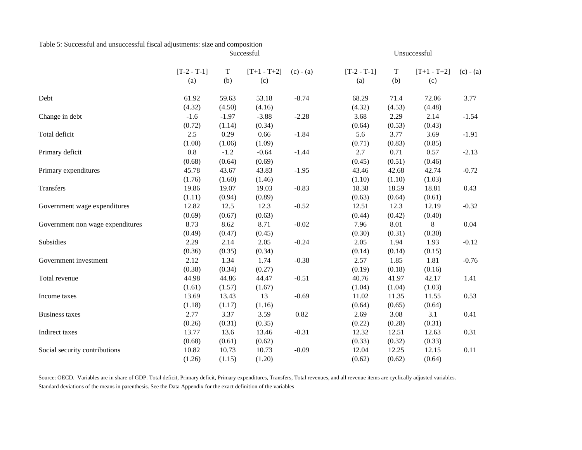#### Table 5: Successful and unsuccessful fiscal adjustments: size and composition Successful

|                                  | $[T-2 - T-1]$ | $\mathbf T$ | $[T+1 - T+2]$ | $(c) - (a)$ | $[T-2 - T-1]$ | $\mathbf T$ | $[T+1 - T+2]$ | $(c) - (a)$ |
|----------------------------------|---------------|-------------|---------------|-------------|---------------|-------------|---------------|-------------|
|                                  | (a)           | (b)         | (c)           |             | (a)           | (b)         | (c)           |             |
| Debt                             | 61.92         | 59.63       | 53.18         | $-8.74$     | 68.29         | 71.4        | 72.06         | 3.77        |
|                                  | (4.32)        | (4.50)      | (4.16)        |             | (4.32)        | (4.53)      | (4.48)        |             |
| Change in debt                   | $-1.6$        | $-1.97$     | $-3.88$       | $-2.28$     | 3.68          | 2.29        | 2.14          | $-1.54$     |
|                                  | (0.72)        | (1.14)      | (0.34)        |             | (0.64)        | (0.53)      | (0.43)        |             |
| Total deficit                    | 2.5           | 0.29        | 0.66          | $-1.84$     | 5.6           | 3.77        | 3.69          | $-1.91$     |
|                                  | (1.00)        | (1.06)      | (1.09)        |             | (0.71)        | (0.83)      | (0.85)        |             |
| Primary deficit                  | 0.8           | $-1.2$      | $-0.64$       | $-1.44$     | 2.7           | 0.71        | 0.57          | $-2.13$     |
|                                  | (0.68)        | (0.64)      | (0.69)        |             | (0.45)        | (0.51)      | (0.46)        |             |
| Primary expenditures             | 45.78         | 43.67       | 43.83         | $-1.95$     | 43.46         | 42.68       | 42.74         | $-0.72$     |
|                                  | (1.76)        | (1.60)      | (1.46)        |             | (1.10)        | (1.10)      | (1.03)        |             |
| Transfers                        | 19.86         | 19.07       | 19.03         | $-0.83$     | 18.38         | 18.59       | 18.81         | 0.43        |
|                                  | (1.11)        | (0.94)      | (0.89)        |             | (0.63)        | (0.64)      | (0.61)        |             |
| Government wage expenditures     | 12.82         | 12.5        | 12.3          | $-0.52$     | 12.51         | 12.3        | 12.19         | $-0.32$     |
|                                  | (0.69)        | (0.67)      | (0.63)        |             | (0.44)        | (0.42)      | (0.40)        |             |
| Government non wage expenditures | 8.73          | 8.62        | 8.71          | $-0.02$     | 7.96          | 8.01        | 8             | 0.04        |
|                                  | (0.49)        | (0.47)      | (0.45)        |             | (0.30)        | (0.31)      | (0.30)        |             |
| Subsidies                        | 2.29          | 2.14        | 2.05          | $-0.24$     | 2.05          | 1.94        | 1.93          | $-0.12$     |
|                                  | (0.36)        | (0.35)      | (0.34)        |             | (0.14)        | (0.14)      | (0.15)        |             |
| Government investment            | 2.12          | 1.34        | 1.74          | $-0.38$     | 2.57          | 1.85        | 1.81          | $-0.76$     |
|                                  | (0.38)        | (0.34)      | (0.27)        |             | (0.19)        | (0.18)      | (0.16)        |             |
| Total revenue                    | 44.98         | 44.86       | 44.47         | $-0.51$     | 40.76         | 41.97       | 42.17         | 1.41        |
|                                  | (1.61)        | (1.57)      | (1.67)        |             | (1.04)        | (1.04)      | (1.03)        |             |
| Income taxes                     | 13.69         | 13.43       | 13            | $-0.69$     | 11.02         | 11.35       | 11.55         | 0.53        |
|                                  | (1.18)        | (1.17)      | (1.16)        |             | (0.64)        | (0.65)      | (0.64)        |             |
| <b>Business taxes</b>            | 2.77          | 3.37        | 3.59          | 0.82        | 2.69          | 3.08        | 3.1           | 0.41        |
|                                  | (0.26)        | (0.31)      | (0.35)        |             | (0.22)        | (0.28)      | (0.31)        |             |
| Indirect taxes                   | 13.77         | 13.6        | 13.46         | $-0.31$     | 12.32         | 12.51       | 12.63         | 0.31        |
|                                  | (0.68)        | (0.61)      | (0.62)        |             | (0.33)        | (0.32)      | (0.33)        |             |
| Social security contributions    | 10.82         | 10.73       | 10.73         | $-0.09$     | 12.04         | 12.25       | 12.15         | 0.11        |
|                                  | (1.26)        | (1.15)      | (1.20)        |             | (0.62)        | (0.62)      | (0.64)        |             |

Unsuccessful

Source: OECD. Variables are in share of GDP. Total deficit, Primary deficit, Primary expenditures, Transfers, Total revenues, and all revenue items are cyclically adjusted variables. Standard deviations of the means in parenthesis. See the Data Appendix for the exact definition of the variables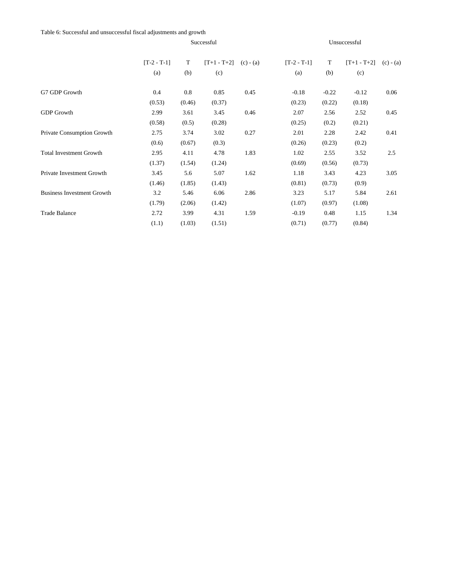Table 6: Successful and unsuccessful fiscal adjustments and growth

|                                   |               |        | Successful    |             |               |         | Unsuccessful  |             |
|-----------------------------------|---------------|--------|---------------|-------------|---------------|---------|---------------|-------------|
|                                   | $[T-2 - T-1]$ | T      | $[T+1 - T+2]$ | $(c) - (a)$ | $[T-2 - T-1]$ | T       | $[T+1 - T+2]$ | $(c) - (a)$ |
|                                   | (a)           | (b)    | (c)           |             | (a)           | (b)     | (c)           |             |
| G7 GDP Growth                     | 0.4           | 0.8    | 0.85          | 0.45        | $-0.18$       | $-0.22$ | $-0.12$       | 0.06        |
|                                   | (0.53)        | (0.46) | (0.37)        |             | (0.23)        | (0.22)  | (0.18)        |             |
| <b>GDP</b> Growth                 | 2.99          | 3.61   | 3.45          | 0.46        | 2.07          | 2.56    | 2.52          | 0.45        |
|                                   | (0.58)        | (0.5)  | (0.28)        |             | (0.25)        | (0.2)   | (0.21)        |             |
| Private Consumption Growth        | 2.75          | 3.74   | 3.02          | 0.27        | 2.01          | 2.28    | 2.42          | 0.41        |
|                                   | (0.6)         | (0.67) | (0.3)         |             | (0.26)        | (0.23)  | (0.2)         |             |
| <b>Total Investment Growth</b>    | 2.95          | 4.11   | 4.78          | 1.83        | 1.02          | 2.55    | 3.52          | 2.5         |
|                                   | (1.37)        | (1.54) | (1.24)        |             | (0.69)        | (0.56)  | (0.73)        |             |
| Private Investment Growth         | 3.45          | 5.6    | 5.07          | 1.62        | 1.18          | 3.43    | 4.23          | 3.05        |
|                                   | (1.46)        | (1.85) | (1.43)        |             | (0.81)        | (0.73)  | (0.9)         |             |
| <b>Business Investment Growth</b> | 3.2           | 5.46   | 6.06          | 2.86        | 3.23          | 5.17    | 5.84          | 2.61        |
|                                   | (1.79)        | (2.06) | (1.42)        |             | (1.07)        | (0.97)  | (1.08)        |             |
| <b>Trade Balance</b>              | 2.72          | 3.99   | 4.31          | 1.59        | $-0.19$       | 0.48    | 1.15          | 1.34        |
|                                   | (1.1)         | (1.03) | (1.51)        |             | (0.71)        | (0.77)  | (0.84)        |             |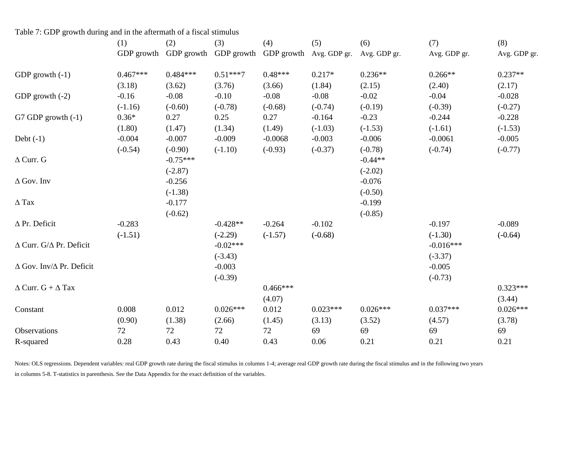|                                         | (1)        | (2)        | (3)        | (4)        | (5)          | (6)          | (7)          | (8)          |
|-----------------------------------------|------------|------------|------------|------------|--------------|--------------|--------------|--------------|
|                                         | GDP growth | GDP growth | GDP growth | GDP growth | Avg. GDP gr. | Avg. GDP gr. | Avg. GDP gr. | Avg. GDP gr. |
| GDP growth $(-1)$                       | $0.467***$ | $0.484***$ | $0.51***7$ | $0.48***$  | $0.217*$     | $0.236**$    | $0.266**$    | $0.237**$    |
|                                         | (3.18)     | (3.62)     | (3.76)     | (3.66)     | (1.84)       | (2.15)       | (2.40)       | (2.17)       |
| GDP growth $(-2)$                       | $-0.16$    | $-0.08$    | $-0.10$    | $-0.08$    | $-0.08$      | $-0.02$      | $-0.04$      | $-0.028$     |
|                                         | $(-1.16)$  | $(-0.60)$  | $(-0.78)$  | $(-0.68)$  | $(-0.74)$    | $(-0.19)$    | $(-0.39)$    | $(-0.27)$    |
| G7 GDP growth $(-1)$                    | $0.36*$    | 0.27       | 0.25       | 0.27       | $-0.164$     | $-0.23$      | $-0.244$     | $-0.228$     |
|                                         | (1.80)     | (1.47)     | (1.34)     | (1.49)     | $(-1.03)$    | $(-1.53)$    | $(-1.61)$    | $(-1.53)$    |
| Debt $(-1)$                             | $-0.004$   | $-0.007$   | $-0.009$   | $-0.0068$  | $-0.003$     | $-0.006$     | $-0.0061$    | $-0.005$     |
|                                         | $(-0.54)$  | $(-0.90)$  | $(-1.10)$  | $(-0.93)$  | $(-0.37)$    | $(-0.78)$    | $(-0.74)$    | $(-0.77)$    |
| $\Delta$ Curr. G                        |            | $-0.75***$ |            |            |              | $-0.44**$    |              |              |
|                                         |            | $(-2.87)$  |            |            |              | $(-2.02)$    |              |              |
| $\Delta$ Gov. Inv                       |            | $-0.256$   |            |            |              | $-0.076$     |              |              |
|                                         |            | $(-1.38)$  |            |            |              | $(-0.50)$    |              |              |
| $\Delta$ Tax                            |            | $-0.177$   |            |            |              | $-0.199$     |              |              |
|                                         |            | $(-0.62)$  |            |            |              | $(-0.85)$    |              |              |
| $\Delta$ Pr. Deficit                    | $-0.283$   |            | $-0.428**$ | $-0.264$   | $-0.102$     |              | $-0.197$     | $-0.089$     |
|                                         | $(-1.51)$  |            | $(-2.29)$  | $(-1.57)$  | $(-0.68)$    |              | $(-1.30)$    | $(-0.64)$    |
| $\Delta$ Curr. G/ $\Delta$ Pr. Deficit  |            |            | $-0.02***$ |            |              |              | $-0.016***$  |              |
|                                         |            |            | $(-3.43)$  |            |              |              | $(-3.37)$    |              |
| $\Delta$ Gov. Inv/ $\Delta$ Pr. Deficit |            |            | $-0.003$   |            |              |              | $-0.005$     |              |
|                                         |            |            | $(-0.39)$  |            |              |              | $(-0.73)$    |              |
| $\Delta$ Curr. G + $\Delta$ Tax         |            |            |            | $0.466***$ |              |              |              | $0.323***$   |
|                                         |            |            |            | (4.07)     |              |              |              | (3.44)       |
| Constant                                | 0.008      | 0.012      | $0.026***$ | 0.012      | $0.023***$   | $0.026***$   | $0.037***$   | $0.026***$   |
|                                         | (0.90)     | (1.38)     | (2.66)     | (1.45)     | (3.13)       | (3.52)       | (4.57)       | (3.78)       |
| Observations                            | 72         | 72         | 72         | 72         | 69           | 69           | 69           | 69           |
| R-squared                               | 0.28       | 0.43       | 0.40       | 0.43       | 0.06         | 0.21         | 0.21         | 0.21         |

Table 7: GDP growth during and in the aftermath of a fiscal stimulus

Notes: OLS regressions. Dependent variables: real GDP growth rate during the fiscal stimulus in columns 1-4; average real GDP growth rate during the fiscal stimulus and in the following two years in columns 5-8. T-statistics in parenthesis. See the Data Appendix for the exact definition of the variables.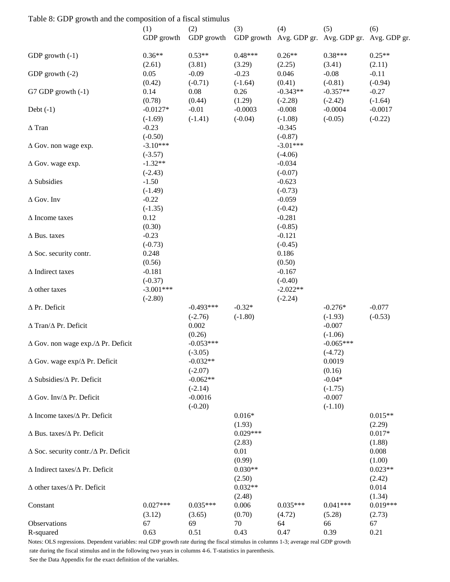| Table 8: GDP growth and the composition of a fiscal stimulus |             |             |            |            |                                                   |            |
|--------------------------------------------------------------|-------------|-------------|------------|------------|---------------------------------------------------|------------|
|                                                              | (1)         | (2)         | (3)        | (4)        | (5)                                               | (6)        |
|                                                              | GDP growth  | GDP growth  |            |            | GDP growth Avg. GDP gr. Avg. GDP gr. Avg. GDP gr. |            |
| GDP growth $(-1)$                                            | $0.36**$    | $0.53**$    | $0.48***$  | $0.26**$   | $0.38***$                                         | $0.25**$   |
|                                                              | (2.61)      | (3.81)      | (3.29)     | (2.25)     | (3.41)                                            | (2.11)     |
| GDP growth $(-2)$                                            | 0.05        | $-0.09$     | $-0.23$    | 0.046      | $-0.08$                                           | $-0.11$    |
|                                                              | (0.42)      | $(-0.71)$   | $(-1.64)$  | (0.41)     | $(-0.81)$                                         | $(-0.94)$  |
| G7 GDP growth $(-1)$                                         | 0.14        | 0.08        | 0.26       | $-0.343**$ | $-0.357**$                                        | $-0.27$    |
|                                                              | (0.78)      | (0.44)      | (1.29)     | $(-2.28)$  | $(-2.42)$                                         | $(-1.64)$  |
| Debt $(-1)$                                                  | $-0.0127*$  | $-0.01$     | $-0.0003$  | $-0.008$   | $-0.0004$                                         | $-0.0017$  |
|                                                              | $(-1.69)$   | $(-1.41)$   | $(-0.04)$  | $(-1.08)$  | $(-0.05)$                                         | $(-0.22)$  |
| $\Delta$ Tran                                                | $-0.23$     |             |            | $-0.345$   |                                                   |            |
|                                                              | $(-0.50)$   |             |            | $(-0.87)$  |                                                   |            |
| $\Delta$ Gov. non wage exp.                                  | $-3.10***$  |             |            | $-3.01***$ |                                                   |            |
|                                                              | $(-3.57)$   |             |            | $(-4.06)$  |                                                   |            |
| $\Delta$ Gov. wage exp.                                      | $-1.32**$   |             |            | $-0.034$   |                                                   |            |
|                                                              | $(-2.43)$   |             |            | $(-0.07)$  |                                                   |            |
| $\Delta$ Subsidies                                           | $-1.50$     |             |            | $-0.623$   |                                                   |            |
|                                                              | $(-1.49)$   |             |            | $(-0.73)$  |                                                   |            |
| $\Delta$ Gov. Inv                                            | $-0.22$     |             |            | $-0.059$   |                                                   |            |
|                                                              | $(-1.35)$   |             |            | $(-0.42)$  |                                                   |            |
| $\Delta$ Income taxes                                        | 0.12        |             |            | $-0.281$   |                                                   |            |
|                                                              | (0.30)      |             |            | $(-0.85)$  |                                                   |            |
| $\Delta$ Bus. taxes                                          | $-0.23$     |             |            | $-0.121$   |                                                   |            |
|                                                              | $(-0.73)$   |             |            | $(-0.45)$  |                                                   |            |
| $\Delta$ Soc. security contr.                                | 0.248       |             |            | 0.186      |                                                   |            |
|                                                              | (0.56)      |             |            | (0.50)     |                                                   |            |
| $\Delta$ Indirect taxes                                      | $-0.181$    |             |            | $-0.167$   |                                                   |            |
|                                                              | $(-0.37)$   |             |            | $(-0.40)$  |                                                   |            |
| $\Delta$ other taxes                                         | $-3.001***$ |             |            | $-2.022**$ |                                                   |            |
|                                                              | $(-2.80)$   |             |            | $(-2.24)$  |                                                   |            |
| $\Delta$ Pr. Deficit                                         |             | $-0.493***$ | $-0.32*$   |            | $-0.276*$                                         | $-0.077$   |
|                                                              |             | $(-2.76)$   | $(-1.80)$  |            | $(-1.93)$                                         | $(-0.53)$  |
| $\Delta$ Tran/ $\Delta$ Pr. Deficit                          |             | 0.002       |            |            | $-0.007$                                          |            |
|                                                              |             | (0.26)      |            |            | $(-1.06)$                                         |            |
| $\Delta$ Gov. non wage exp./ $\Delta$ Pr. Deficit            |             | $-0.053***$ |            |            | $-0.065***$                                       |            |
|                                                              |             | $(-3.05)$   |            |            | $(-4.72)$                                         |            |
| $\Delta$ Gov. wage exp/ $\Delta$ Pr. Deficit                 |             | $-0.032**$  |            |            | 0.0019                                            |            |
|                                                              |             | $(-2.07)$   |            |            | (0.16)                                            |            |
| $\Delta$ Subsidies/ $\Delta$ Pr. Deficit                     |             | $-0.062**$  |            |            | $-0.04*$                                          |            |
|                                                              |             | $(-2.14)$   |            |            | $(-1.75)$                                         |            |
| $\Delta$ Gov. Inv/ $\Delta$ Pr. Deficit                      |             | $-0.0016$   |            |            | $-0.007$                                          |            |
|                                                              |             | $(-0.20)$   |            |            | $(-1.10)$                                         |            |
| $\Delta$ Income taxes/ $\Delta$ Pr. Deficit                  |             |             | $0.016*$   |            |                                                   | $0.015**$  |
|                                                              |             |             | (1.93)     |            |                                                   | (2.29)     |
| $\Delta$ Bus. taxes/ $\Delta$ Pr. Deficit                    |             |             | $0.029***$ |            |                                                   | $0.017*$   |
|                                                              |             |             | (2.83)     |            |                                                   | (1.88)     |
| $\Delta$ Soc. security contr./ $\Delta$ Pr. Deficit          |             |             | 0.01       |            |                                                   | 0.008      |
|                                                              |             |             | (0.99)     |            |                                                   | (1.00)     |
| $\Delta$ Indirect taxes/ $\Delta$ Pr. Deficit                |             |             | $0.030**$  |            |                                                   | $0.023**$  |
|                                                              |             |             | (2.50)     |            |                                                   | (2.42)     |
| $\Delta$ other taxes/ $\Delta$ Pr. Deficit                   |             |             | $0.032**$  |            |                                                   | 0.014      |
|                                                              |             |             | (2.48)     |            |                                                   | (1.34)     |
| Constant                                                     | $0.027***$  | $0.035***$  | 0.006      | $0.035***$ | $0.041***$                                        | $0.019***$ |
|                                                              | (3.12)      | (3.65)      | (0.70)     | (4.72)     | (5.28)                                            | (2.73)     |
| Observations                                                 | 67          | 69          | 70         | 64         | 66                                                | 67         |
| R-squared                                                    | 0.63        | 0.51        | 0.43       | 0.47       | 0.39                                              | 0.21       |
|                                                              |             |             |            |            |                                                   |            |

Notes: OLS regressions. Dependent variables: real GDP growth rate during the fiscal stimulus in columns 1-3; average real GDP growth rate during the fiscal stimulus and in the following two years in columns 4-6. T-statistics in parenthesis.

#### See the Data Appendix for the exact definition of the variables.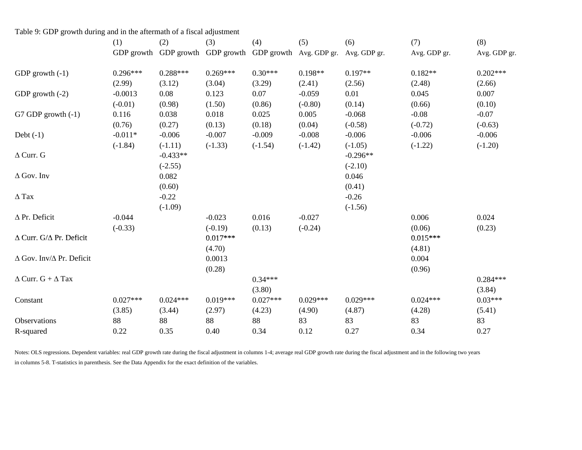| Table 9: GDP growth during and in the aftermath of a fiscal adjustment |            |            |                       |            |              |              |              |              |
|------------------------------------------------------------------------|------------|------------|-----------------------|------------|--------------|--------------|--------------|--------------|
|                                                                        | (1)        | (2)        | (3)                   | (4)        | (5)          | (6)          | (7)          | (8)          |
|                                                                        | GDP growth |            | GDP growth GDP growth | GDP growth | Avg. GDP gr. | Avg. GDP gr. | Avg. GDP gr. | Avg. GDP gr. |
| GDP growth $(-1)$                                                      | $0.296***$ | $0.288***$ | $0.269***$            | $0.30***$  | $0.198**$    | $0.197**$    | $0.182**$    | $0.202***$   |
|                                                                        | (2.99)     | (3.12)     | (3.04)                | (3.29)     | (2.41)       | (2.56)       | (2.48)       | (2.66)       |
| GDP growth $(-2)$                                                      | $-0.0013$  | 0.08       | 0.123                 | 0.07       | $-0.059$     | 0.01         | 0.045        | 0.007        |
|                                                                        | $(-0.01)$  | (0.98)     | (1.50)                | (0.86)     | $(-0.80)$    | (0.14)       | (0.66)       | (0.10)       |
| G7 GDP growth $(-1)$                                                   | 0.116      | 0.038      | 0.018                 | 0.025      | 0.005        | $-0.068$     | $-0.08$      | $-0.07$      |
|                                                                        | (0.76)     | (0.27)     | (0.13)                | (0.18)     | (0.04)       | $(-0.58)$    | $(-0.72)$    | $(-0.63)$    |
| Debt $(-1)$                                                            | $-0.011*$  | $-0.006$   | $-0.007$              | $-0.009$   | $-0.008$     | $-0.006$     | $-0.006$     | $-0.006$     |
|                                                                        | $(-1.84)$  | $(-1.11)$  | $(-1.33)$             | $(-1.54)$  | $(-1.42)$    | $(-1.05)$    | $(-1.22)$    | $(-1.20)$    |
| $\Delta$ Curr. G                                                       |            | $-0.433**$ |                       |            |              | $-0.296**$   |              |              |
|                                                                        |            | $(-2.55)$  |                       |            |              | $(-2.10)$    |              |              |
| $\Delta$ Gov. Inv                                                      |            | 0.082      |                       |            |              | 0.046        |              |              |
|                                                                        |            | (0.60)     |                       |            |              | (0.41)       |              |              |
| $\Delta$ Tax                                                           |            | $-0.22$    |                       |            |              | $-0.26$      |              |              |
|                                                                        |            | $(-1.09)$  |                       |            |              | $(-1.56)$    |              |              |
| $\Delta$ Pr. Deficit                                                   | $-0.044$   |            | $-0.023$              | 0.016      | $-0.027$     |              | 0.006        | 0.024        |
|                                                                        | $(-0.33)$  |            | $(-0.19)$             | (0.13)     | $(-0.24)$    |              | (0.06)       | (0.23)       |
| $\Delta$ Curr. G/ $\Delta$ Pr. Deficit                                 |            |            | $0.017***$            |            |              |              | $0.015***$   |              |
|                                                                        |            |            | (4.70)                |            |              |              | (4.81)       |              |
| ∆ Gov. Inv/∆ Pr. Deficit                                               |            |            | 0.0013                |            |              |              | 0.004        |              |
|                                                                        |            |            | (0.28)                |            |              |              | (0.96)       |              |
| $\Delta$ Curr. G + $\Delta$ Tax                                        |            |            |                       | $0.34***$  |              |              |              | $0.284***$   |
|                                                                        |            |            |                       | (3.80)     |              |              |              | (3.84)       |
| Constant                                                               | $0.027***$ | $0.024***$ | $0.019***$            | $0.027***$ | $0.029***$   | $0.029***$   | $0.024***$   | $0.03***$    |
|                                                                        | (3.85)     | (3.44)     | (2.97)                | (4.23)     | (4.90)       | (4.87)       | (4.28)       | (5.41)       |
| <b>Observations</b>                                                    | 88         | 88         | 88                    | 88         | 83           | 83           | 83           | 83           |
| R-squared                                                              | 0.22       | 0.35       | 0.40                  | 0.34       | 0.12         | 0.27         | 0.34         | 0.27         |

Notes: OLS regressions. Dependent variables: real GDP growth rate during the fiscal adjustment in columns 1-4; average real GDP growth rate during the fiscal adjustment and in the following two years in columns 5-8. T-statistics in parenthesis. See the Data Appendix for the exact definition of the variables.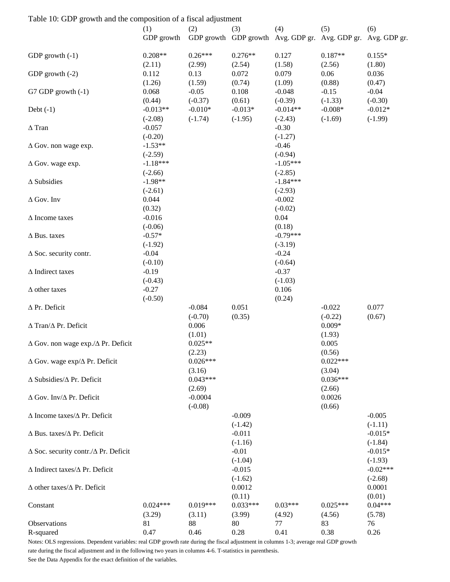| Table 10: GDP growth and the composition of a fiscal adjustment |                         |                        |                        |                                                                     |                        |                         |
|-----------------------------------------------------------------|-------------------------|------------------------|------------------------|---------------------------------------------------------------------|------------------------|-------------------------|
|                                                                 | (1)<br>GDP growth       | (2)                    | (3)                    | (4)<br>GDP growth GDP growth Avg. GDP gr. Avg. GDP gr. Avg. GDP gr. | (5)                    | (6)                     |
| GDP growth $(-1)$                                               | $0.208**$<br>(2.11)     | $0.26***$<br>(2.99)    | $0.276**$<br>(2.54)    | 0.127<br>(1.58)                                                     | $0.187**$<br>(2.56)    | $0.155*$<br>(1.80)      |
| GDP growth $(-2)$                                               | 0.112<br>(1.26)         | 0.13<br>(1.59)         | 0.072<br>(0.74)        | 0.079<br>(1.09)                                                     | 0.06<br>(0.88)         | 0.036<br>(0.47)         |
| G7 GDP growth $(-1)$                                            | 0.068<br>(0.44)         | $-0.05$<br>$(-0.37)$   | 0.108<br>(0.61)        | $-0.048$<br>$(-0.39)$                                               | $-0.15$<br>$(-1.33)$   | $-0.04$<br>$(-0.30)$    |
| Debt $(-1)$                                                     | $-0.013**$<br>$(-2.08)$ | $-0.010*$<br>$(-1.74)$ | $-0.013*$<br>$(-1.95)$ | $-0.014**$<br>$(-2.43)$                                             | $-0.008*$<br>$(-1.69)$ | $-0.012*$<br>$(-1.99)$  |
| $\Delta$ Tran                                                   | $-0.057$<br>$(-0.20)$   |                        |                        | $-0.30$<br>$(-1.27)$                                                |                        |                         |
| $\Delta$ Gov. non wage exp.                                     | $-1.53**$<br>$(-2.59)$  |                        |                        | $-0.46$<br>$(-0.94)$                                                |                        |                         |
| $\Delta$ Gov. wage exp.                                         | $-1.18***$<br>$(-2.66)$ |                        |                        | $-1.05***$<br>$(-2.85)$                                             |                        |                         |
| $\Delta$ Subsidies                                              | $-1.98**$<br>$(-2.61)$  |                        |                        | $-1.84***$<br>$(-2.93)$                                             |                        |                         |
| $\Delta$ Gov. Inv                                               | 0.044<br>(0.32)         |                        |                        | $-0.002$<br>$(-0.02)$                                               |                        |                         |
| $\Delta$ Income taxes                                           | $-0.016$<br>$(-0.06)$   |                        |                        | 0.04<br>(0.18)                                                      |                        |                         |
| $\Delta$ Bus. taxes                                             | $-0.57*$<br>$(-1.92)$   |                        |                        | $-0.79***$<br>$(-3.19)$                                             |                        |                         |
| $\Delta$ Soc. security contr.                                   | $-0.04$<br>$(-0.10)$    |                        |                        | $-0.24$<br>$(-0.64)$                                                |                        |                         |
| $\Delta$ Indirect taxes                                         | $-0.19$<br>$(-0.43)$    |                        |                        | $-0.37$<br>$(-1.03)$                                                |                        |                         |
| $\Delta$ other taxes                                            | $-0.27$<br>$(-0.50)$    |                        |                        | 0.106<br>(0.24)                                                     |                        |                         |
| $\Delta$ Pr. Deficit                                            |                         | $-0.084$<br>$(-0.70)$  | 0.051<br>(0.35)        |                                                                     | $-0.022$<br>$(-0.22)$  | 0.077<br>(0.67)         |
| $\Delta$ Tran/ $\Delta$ Pr. Deficit                             |                         | 0.006<br>(1.01)        |                        |                                                                     | $0.009*$<br>(1.93)     |                         |
| $\Delta$ Gov. non wage exp./ $\Delta$ Pr. Deficit               |                         | $0.025**$<br>(2.23)    |                        |                                                                     | 0.005<br>(0.56)        |                         |
| $\Delta$ Gov. wage exp/ $\Delta$ Pr. Deficit                    |                         | $0.026***$<br>(3.16)   |                        |                                                                     | $0.022***$<br>(3.04)   |                         |
| $\Delta$ Subsidies/ $\Delta$ Pr. Deficit                        |                         | $0.043***$<br>(2.69)   |                        |                                                                     | $0.036***$<br>(2.66)   |                         |
| $\Delta$ Gov. Inv/ $\Delta$ Pr. Deficit                         |                         | $-0.0004$<br>$(-0.08)$ |                        |                                                                     | 0.0026<br>(0.66)       |                         |
| $\Delta$ Income taxes/ $\Delta$ Pr. Deficit                     |                         |                        | $-0.009$<br>$(-1.42)$  |                                                                     |                        | $-0.005$<br>$(-1.11)$   |
| $\Delta$ Bus. taxes/ $\Delta$ Pr. Deficit                       |                         |                        | $-0.011$<br>$(-1.16)$  |                                                                     |                        | $-0.015*$<br>$(-1.84)$  |
| $\Delta$ Soc. security contr./ $\Delta$ Pr. Deficit             |                         |                        | $-0.01$<br>$(-1.04)$   |                                                                     |                        | $-0.015*$<br>$(-1.93)$  |
| $\Delta$ Indirect taxes/ $\Delta$ Pr. Deficit                   |                         |                        | $-0.015$<br>$(-1.62)$  |                                                                     |                        | $-0.02***$<br>$(-2.68)$ |
| $\Delta$ other taxes/ $\Delta$ Pr. Deficit                      |                         |                        | 0.0012<br>(0.11)       |                                                                     |                        | 0.0001<br>(0.01)        |
| Constant                                                        | $0.024***$<br>(3.29)    | $0.019***$<br>(3.11)   | $0.033***$<br>(3.99)   | $0.03***$<br>(4.92)                                                 | $0.025***$<br>(4.56)   | $0.04***$<br>(5.78)     |
| Observations<br>R-squared                                       | 81<br>0.47              | 88<br>0.46             | 80<br>0.28             | 77<br>0.41                                                          | 83<br>0.38             | 76<br>0.26              |

Notes: OLS regressions. Dependent variables: real GDP growth rate during the fiscal adjustment in columns 1-3; average real GDP growth rate during the fiscal adjustment and in the following two years in columns 4-6. T-statistics in parenthesis. See the Data Appendix for the exact definition of the variables.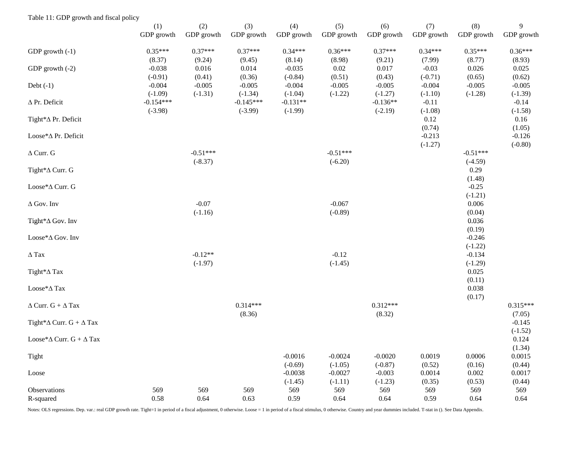| Table 11: GDP growth and fiscal policy              |                          |                       |                          |                         |                        |                         |                       |                              |                       |
|-----------------------------------------------------|--------------------------|-----------------------|--------------------------|-------------------------|------------------------|-------------------------|-----------------------|------------------------------|-----------------------|
|                                                     | (1)<br>GDP growth        | (2)<br>GDP growth     | (3)<br>GDP growth        | (4)<br>GDP growth       | (5)<br>GDP growth      | (6)<br>GDP growth       | (7)<br>GDP growth     | (8)<br>GDP growth            | 9<br>GDP growth       |
| GDP growth (-1)                                     | $0.35***$<br>(8.37)      | $0.37***$<br>(9.24)   | $0.37***$<br>(9.45)      | $0.34***$<br>(8.14)     | $0.36***$<br>(8.98)    | $0.37***$<br>(9.21)     | $0.34***$<br>(7.99)   | $0.35***$<br>(8.77)          | $0.36***$<br>(8.93)   |
| GDP growth (-2)                                     | $-0.038$<br>$(-0.91)$    | 0.016<br>(0.41)       | 0.014<br>(0.36)          | $-0.035$<br>$(-0.84)$   | $0.02\,$<br>(0.51)     | 0.017<br>(0.43)         | $-0.03$<br>$(-0.71)$  | 0.026<br>(0.65)              | 0.025<br>(0.62)       |
| Debt $(-1)$                                         | $-0.004$<br>$(-1.09)$    | $-0.005$<br>$(-1.31)$ | $-0.005$<br>$(-1.34)$    | $-0.004$<br>$(-1.04)$   | $-0.005$<br>$(-1.22)$  | $-0.005$<br>$(-1.27)$   | $-0.004$<br>$(-1.10)$ | $-0.005$<br>$(-1.28)$        | $-0.005$<br>$(-1.39)$ |
| $\Delta$ Pr. Deficit                                | $-0.154***$<br>$(-3.98)$ |                       | $-0.145***$<br>$(-3.99)$ | $-0.131**$<br>$(-1.99)$ |                        | $-0.136**$<br>$(-2.19)$ | $-0.11$<br>$(-1.08)$  |                              | $-0.14$<br>$(-1.58)$  |
| Tight*∆ Pr. Deficit                                 |                          |                       |                          |                         |                        |                         | 0.12<br>(0.74)        |                              | 0.16<br>(1.05)        |
| Loose*∆ Pr. Deficit                                 |                          |                       |                          |                         |                        |                         | $-0.213$<br>$(-1.27)$ |                              | $-0.126$<br>$(-0.80)$ |
| $\Delta$ Curr. G                                    |                          | $-0.51***$            |                          |                         | $-0.51***$             |                         |                       | $-0.51***$                   |                       |
| Tight <sup>*</sup> ∆ Curr. G                        |                          | $(-8.37)$             |                          |                         | $(-6.20)$              |                         |                       | $(-4.59)$<br>0.29            |                       |
| Loose*∆ Curr. G                                     |                          |                       |                          |                         |                        |                         |                       | (1.48)<br>$-0.25$            |                       |
| $\Delta$ Gov. Inv                                   |                          | $-0.07$               |                          |                         | $-0.067$               |                         |                       | $(-1.21)$<br>0.006           |                       |
| Tight <sup>*</sup> ∆ Gov. Inv                       |                          | $(-1.16)$             |                          |                         | $(-0.89)$              |                         |                       | (0.04)<br>0.036              |                       |
| Loose*∆ Gov. Inv                                    |                          |                       |                          |                         |                        |                         |                       | (0.19)<br>$-0.246$           |                       |
| $\Delta$ Tax                                        |                          | $-0.12**$             |                          |                         | $-0.12$                |                         |                       | $(-1.22)$<br>$-0.134$        |                       |
| Tight <sup>*</sup> ∆ Tax                            |                          | $(-1.97)$             |                          |                         | $(-1.45)$              |                         |                       | $(-1.29)$<br>0.025<br>(0.11) |                       |
| $\operatorname{Loose}^*\!\Delta \operatorname{Tax}$ |                          |                       |                          |                         |                        |                         |                       | 0.038<br>(0.17)              |                       |
| $\Delta$ Curr. G + $\Delta$ Tax                     |                          |                       | $0.314***$<br>(8.36)     |                         |                        | $0.312***$<br>(8.32)    |                       |                              | $0.315***$<br>(7.05)  |
| Tight* $\Delta$ Curr. G + $\Delta$ Tax              |                          |                       |                          |                         |                        |                         |                       |                              | $-0.145$<br>$(-1.52)$ |
| Loose* $\Delta$ Curr. $G + \Delta$ Tax              |                          |                       |                          |                         |                        |                         |                       |                              | 0.124<br>(1.34)       |
| Tight                                               |                          |                       |                          | $-0.0016$<br>$(-0.69)$  | $-0.0024$<br>$(-1.05)$ | $-0.0020$<br>$(-0.87)$  | 0.0019<br>(0.52)      | 0.0006<br>(0.16)             | 0.0015<br>(0.44)      |
| $\operatorname{Loose}$                              |                          |                       |                          | $-0.0038$<br>$(-1.45)$  | $-0.0027$<br>$(-1.11)$ | $-0.003$<br>$(-1.23)$   | 0.0014<br>(0.35)      | 0.002<br>(0.53)              | 0.0017<br>(0.44)      |
| Observations<br>R-squared                           | 569<br>0.58              | 569<br>0.64           | 569<br>0.63              | 569<br>0.59             | 569<br>0.64            | 569<br>0.64             | 569<br>0.59           | 569<br>0.64                  | 569<br>0.64           |

Notes: OLS regressions. Dep. var.: real GDP growth rate. Tight=1 in period of a fiscal adjustment, 0 otherwise. Loose = 1 in period of a fiscal stimulus, 0 otherwise. Country and year dummies included. T-stat in (). See Da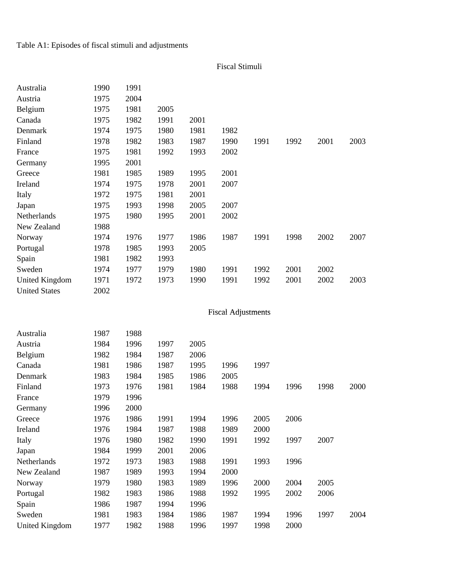Table A1: Episodes of fiscal stimuli and adjustments

Fiscal Stimuli

| Australia             | 1990 | 1991 |      |      |                           |      |      |      |      |
|-----------------------|------|------|------|------|---------------------------|------|------|------|------|
| Austria               | 1975 | 2004 |      |      |                           |      |      |      |      |
| Belgium               | 1975 | 1981 | 2005 |      |                           |      |      |      |      |
| Canada                | 1975 | 1982 | 1991 | 2001 |                           |      |      |      |      |
| Denmark               | 1974 | 1975 | 1980 | 1981 | 1982                      |      |      |      |      |
| Finland               | 1978 | 1982 | 1983 | 1987 | 1990                      | 1991 | 1992 | 2001 | 2003 |
| France                | 1975 | 1981 | 1992 | 1993 | 2002                      |      |      |      |      |
| Germany               | 1995 | 2001 |      |      |                           |      |      |      |      |
| Greece                | 1981 | 1985 | 1989 | 1995 | 2001                      |      |      |      |      |
| Ireland               | 1974 | 1975 | 1978 | 2001 | 2007                      |      |      |      |      |
| Italy                 | 1972 | 1975 | 1981 | 2001 |                           |      |      |      |      |
| Japan                 | 1975 | 1993 | 1998 | 2005 | 2007                      |      |      |      |      |
| Netherlands           | 1975 | 1980 | 1995 | 2001 | 2002                      |      |      |      |      |
| New Zealand           | 1988 |      |      |      |                           |      |      |      |      |
| Norway                | 1974 | 1976 | 1977 | 1986 | 1987                      | 1991 | 1998 | 2002 | 2007 |
| Portugal              | 1978 | 1985 | 1993 | 2005 |                           |      |      |      |      |
| Spain                 | 1981 | 1982 | 1993 |      |                           |      |      |      |      |
| Sweden                | 1974 | 1977 | 1979 | 1980 | 1991                      | 1992 | 2001 | 2002 |      |
| <b>United Kingdom</b> | 1971 | 1972 | 1973 | 1990 | 1991                      | 1992 | 2001 | 2002 | 2003 |
| <b>United States</b>  | 2002 |      |      |      |                           |      |      |      |      |
|                       |      |      |      |      |                           |      |      |      |      |
|                       |      |      |      |      | <b>Fiscal Adjustments</b> |      |      |      |      |
| Australia             | 1987 | 1988 |      |      |                           |      |      |      |      |
| Austria               | 1984 | 1996 | 1997 | 2005 |                           |      |      |      |      |
| Belgium               | 1982 | 1984 | 1987 | 2006 |                           |      |      |      |      |
| Canada                | 1981 | 1986 | 1987 | 1995 | 1996                      | 1997 |      |      |      |
| Denmark               | 1983 | 1984 | 1985 | 1986 | 2005                      |      |      |      |      |
| Finland               | 1973 | 1976 | 1981 | 1984 | 1988                      | 1994 | 1996 | 1998 | 2000 |
| France                | 1979 | 1996 |      |      |                           |      |      |      |      |
| Germany               | 1996 | 2000 |      |      |                           |      |      |      |      |
| Greece                | 1976 | 1986 | 1991 | 1994 | 1996                      | 2005 | 2006 |      |      |
| Ireland               | 1976 | 1984 | 1987 | 1988 | 1989                      | 2000 |      |      |      |
| Italy                 | 1976 | 1980 | 1982 | 1990 | 1991                      | 1992 | 1997 | 2007 |      |
| Japan                 | 1984 | 1999 | 2001 | 2006 |                           |      |      |      |      |
| Netherlands           | 1972 | 1973 | 1983 | 1988 | 1991                      | 1993 | 1996 |      |      |
| New Zealand           | 1987 | 1989 | 1993 | 1994 | 2000                      |      |      |      |      |
| Norway                | 1979 | 1980 | 1983 | 1989 | 1996                      | 2000 | 2004 | 2005 |      |
| Portugal              | 1982 | 1983 | 1986 | 1988 | 1992                      | 1995 | 2002 | 2006 |      |
| Spain                 | 1986 | 1987 | 1994 | 1996 |                           |      |      |      |      |
| Sweden                | 1981 | 1983 | 1984 | 1986 | 1987                      | 1994 | 1996 | 1997 | 2004 |
| <b>United Kingdom</b> | 1977 | 1982 | 1988 | 1996 | 1997                      | 1998 | 2000 |      |      |